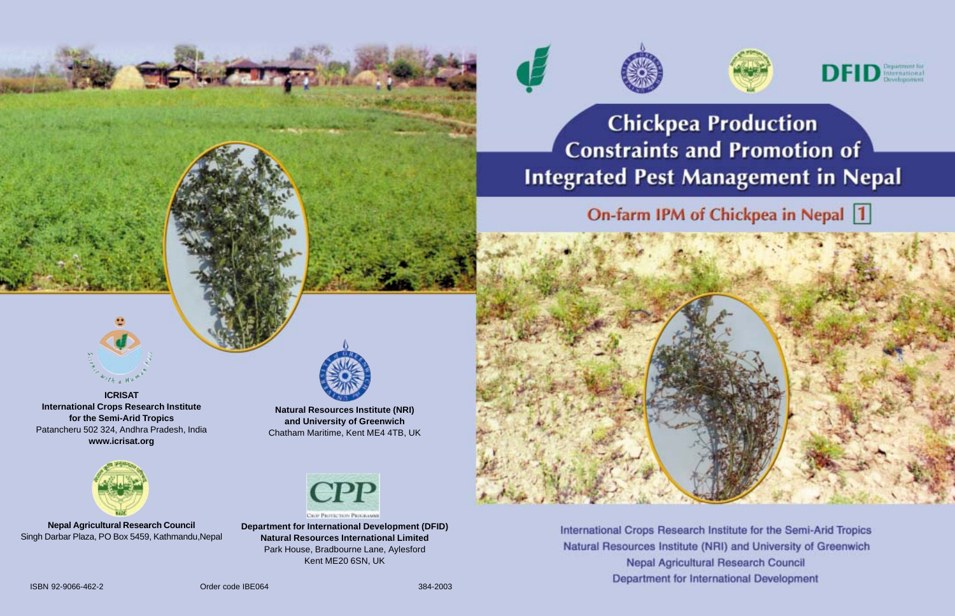





**Chickpea Production Constraints and Promotion of Integrated Pest Management in Nepal** 

On-farm IPM of Chickpea in Nepal 1



**ICRISAT International Crops Research Institute for the Semi-Arid Tropics** Patancheru 502 324, Andhra Pradesh, India **www.icrisat.org**



**Nepal Agricultural Research Council** Singh Darbar Plaza, PO Box 5459, Kathmandu,Nepal



**Natural Resources Institute (NRI) and University of Greenwich** Chatham Maritime, Kent ME4 4TB, UK



**Department for International Development (DFID) Natural Resources International Limited** Park House, Bradbourne Lane, Aylesford Kent ME20 6SN, UK



International Crops Research Institute for the Semi-Arid Tropics Natural Resources Institute (NRI) and University of Greenwich **Nepal Agricultural Research Council** Department for International Development

ISBN 92-9066-462-2 Order code IBE064 384-2003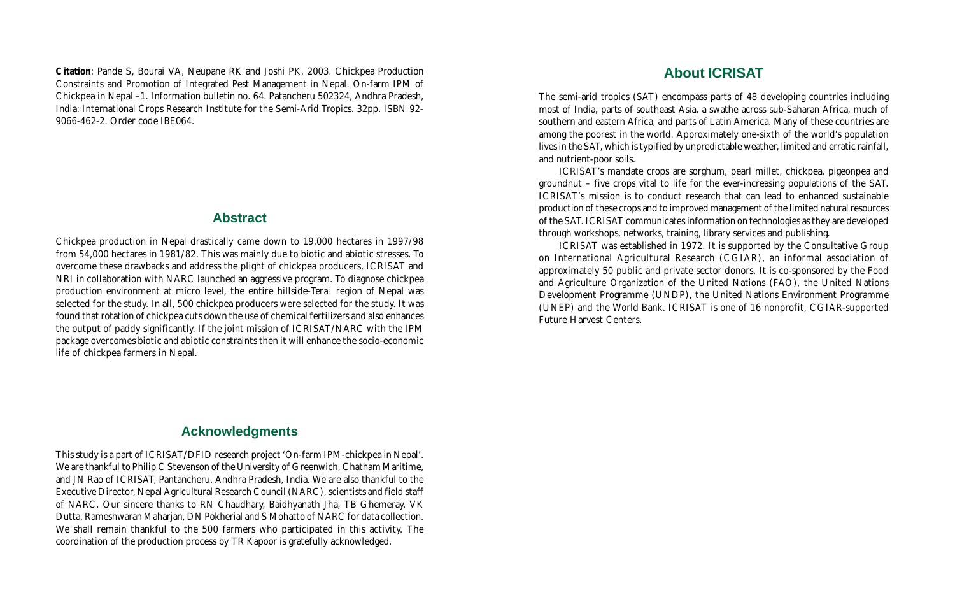**Citation**: Pande S, Bourai VA, Neupane RK and Joshi PK. 2003. Chickpea Production Constraints and Promotion of Integrated Pest Management in Nepal. On-farm IPM of Chickpea in Nepal –1. Information bulletin no. 64. Patancheru 502324, Andhra Pradesh, India: International Crops Research Institute for the Semi-Arid Tropics. 32pp. ISBN 92- 9066-462-2. Order code IBE064.

### **Abstract**

Chickpea production in Nepal drastically came down to 19,000 hectares in 1997/98 from 54,000 hectares in 1981/82. This was mainly due to biotic and abiotic stresses. To overcome these drawbacks and address the plight of chickpea producers, ICRISAT and NRI in collaboration with NARC launched an aggressive program. To diagnose chickpea production environment at micro level, the entire hillside-*Terai* region of Nepal was selected for the study. In all, 500 chickpea producers were selected for the study. It was found that rotation of chickpea cuts down the use of chemical fertilizers and also enhances the output of paddy significantly. If the joint mission of ICRISAT/NARC with the IPM package overcomes biotic and abiotic constraints then it will enhance the socio-economic life of chickpea farmers in Nepal.

### **Acknowledgments**

This study is a part of ICRISAT/DFID research project 'On-farm IPM-chickpea in Nepal'. We are thankful to Philip C Stevenson of the University of Greenwich, Chatham Maritime, and JN Rao of ICRISAT, Pantancheru, Andhra Pradesh, India. We are also thankful to the Executive Director, Nepal Agricultural Research Council (NARC), scientists and field staff of NARC. Our sincere thanks to RN Chaudhary, Baidhyanath Jha, TB Ghemeray, VK Dutta, Rameshwaran Maharjan, DN Pokherial and S Mohatto of NARC for data collection. We shall remain thankful to the 500 farmers who participated in this activity. The coordination of the production process by TR Kapoor is gratefully acknowledged.

### **About ICRISAT**

The semi-arid tropics (SAT) encompass parts of 48 developing countries including most of India, parts of southeast Asia, a swathe across sub-Saharan Africa, much of southern and eastern Africa, and parts of Latin America. Many of these countries are among the poorest in the world. Approximately one-sixth of the world's population lives in the SAT, which is typified by unpredictable weather, limited and erratic rainfall, and nutrient-poor soils.

ICRISAT's mandate crops are sorghum, pearl millet, chickpea, pigeonpea and groundnut – five crops vital to life for the ever-increasing populations of the SAT. ICRISAT's mission is to conduct research that can lead to enhanced sustainable production of these crops and to improved management of the limited natural resources of the SAT. ICRISAT communicates information on technologies as they are developed through workshops, networks, training, library services and publishing.

ICRISAT was established in 1972. It is supported by the Consultative Group on International Agricultural Research (CGIAR), an informal association of approximately 50 public and private sector donors. It is co-sponsored by the Food and Agriculture Organization of the United Nations (FAO), the United Nations Development Programme (UNDP), the United Nations Environment Programme (UNEP) and the World Bank. ICRISAT is one of 16 nonprofit, CGIAR-supported Future Harvest Centers.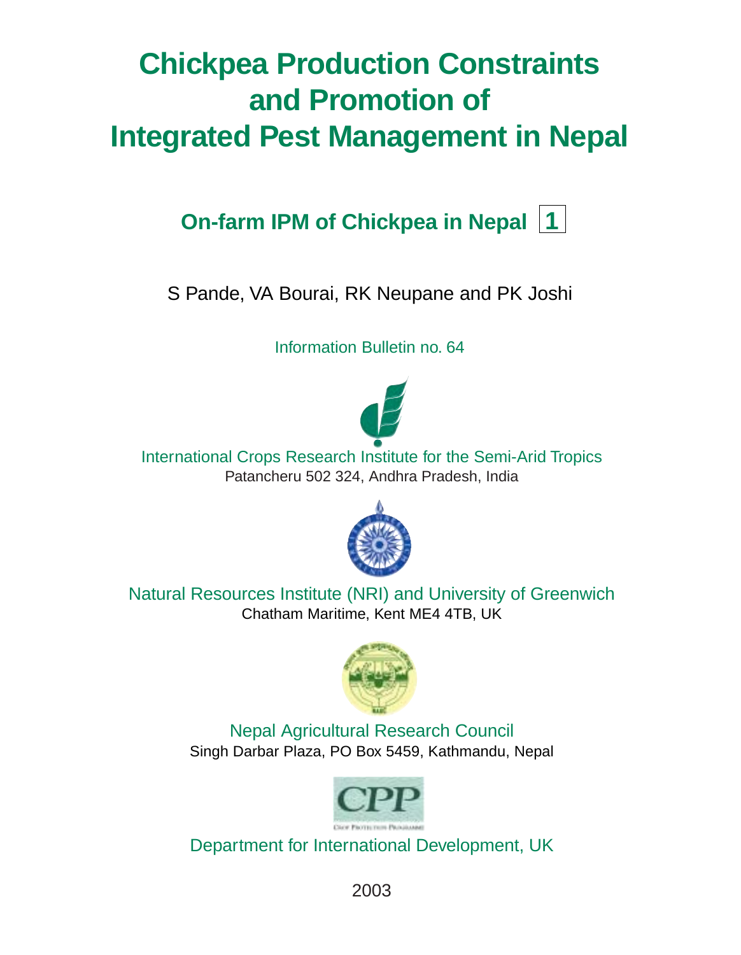# **Chickpea Production Constraints and Promotion of Integrated Pest Management in Nepal**

## **On-farm IPM of Chickpea in Nepal 1**

S Pande, VA Bourai, RK Neupane and PK Joshi

Information Bulletin no. 64



International Crops Research Institute for the Semi-Arid Tropics Patancheru 502 324, Andhra Pradesh, India



Natural Resources Institute (NRI) and University of Greenwich Chatham Maritime, Kent ME4 4TB, UK



Nepal Agricultural Research Council Singh Darbar Plaza, PO Box 5459, Kathmandu, Nepal



Department for International Development, UK

2003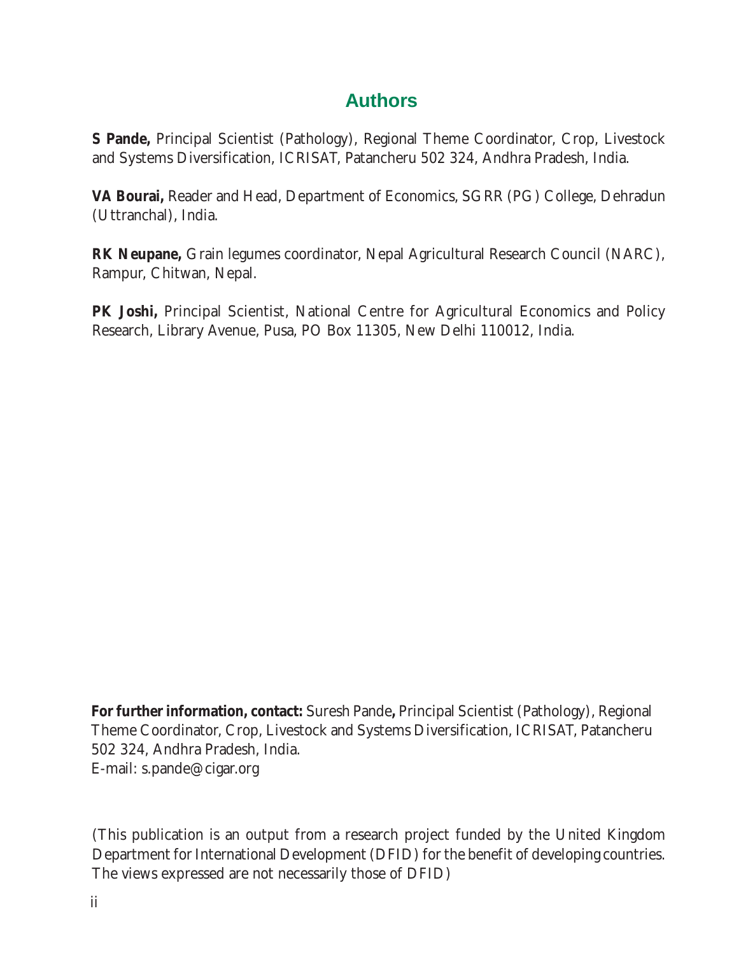### **Authors**

**S Pande,** Principal Scientist (Pathology), Regional Theme Coordinator, Crop, Livestock and Systems Diversification, ICRISAT, Patancheru 502 324, Andhra Pradesh, India.

**VA Bourai,** Reader and Head, Department of Economics, SGRR (PG) College, Dehradun (Uttranchal), India.

**RK Neupane,** Grain legumes coordinator, Nepal Agricultural Research Council (NARC), Rampur, Chitwan, Nepal.

**PK Joshi,** Principal Scientist, National Centre for Agricultural Economics and Policy Research, Library Avenue, Pusa, PO Box 11305, New Delhi 110012, India.

**For further information, contact:** Suresh Pande**,** Principal Scientist (Pathology), Regional Theme Coordinator, Crop, Livestock and Systems Diversification, ICRISAT, Patancheru 502 324, Andhra Pradesh, India. E-mail: s.pande@cigar.org

(This publication is an output from a research project funded by the United Kingdom Department for International Development (DFID) for the benefit of developing countries. The views expressed are not necessarily those of DFID)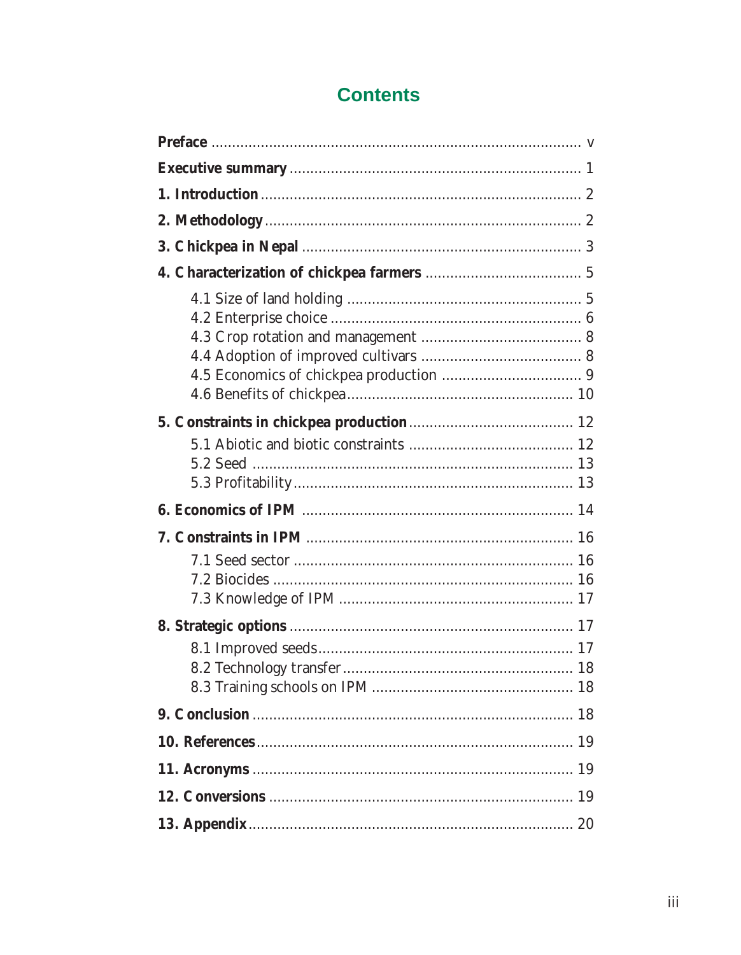### **Contents**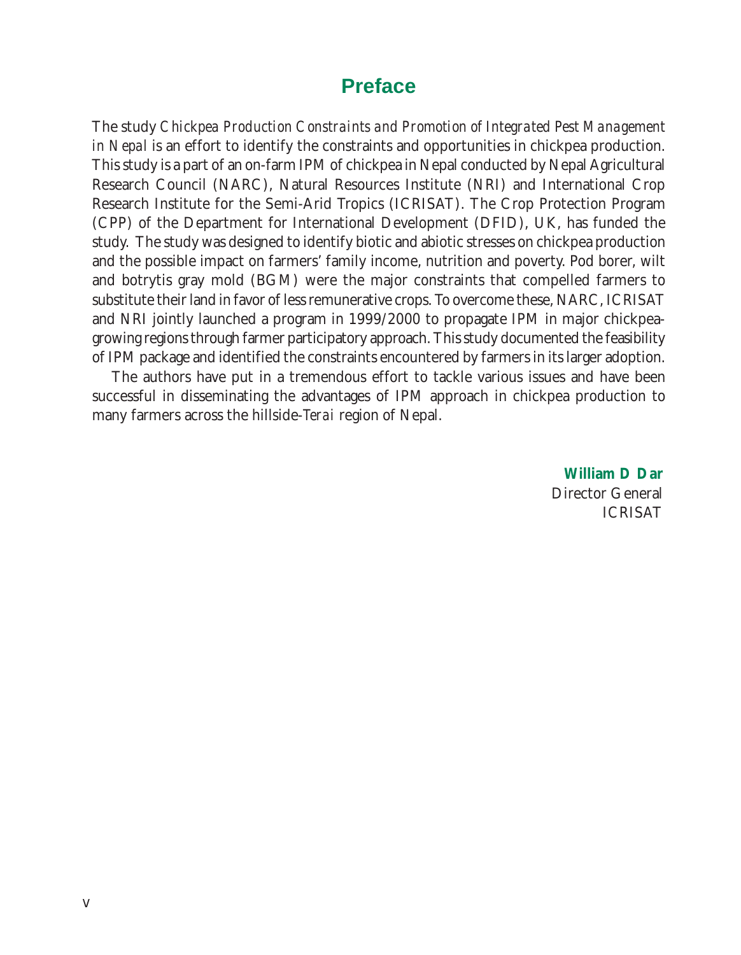### **Preface**

The study *Chickpea Production Constraints and Promotion of Integrated Pest Management in Nepal* is an effort to identify the constraints and opportunities in chickpea production. This study is a part of an on-farm IPM of chickpea in Nepal conducted by Nepal Agricultural Research Council (NARC), Natural Resources Institute (NRI) and International Crop Research Institute for the Semi-Arid Tropics (ICRISAT). The Crop Protection Program (CPP) of the Department for International Development (DFID), UK, has funded the study. The study was designed to identify biotic and abiotic stresses on chickpea production and the possible impact on farmers' family income, nutrition and poverty. Pod borer, wilt and botrytis gray mold (BGM) were the major constraints that compelled farmers to substitute their land in favor of less remunerative crops. To overcome these, NARC, ICRISAT and NRI jointly launched a program in 1999/2000 to propagate IPM in major chickpeagrowing regions through farmer participatory approach. This study documented the feasibility of IPM package and identified the constraints encountered by farmers in its larger adoption.

The authors have put in a tremendous effort to tackle various issues and have been successful in disseminating the advantages of IPM approach in chickpea production to many farmers across the hillside-*Terai* region of Nepal.

> **William D Dar** Director General ICRISAT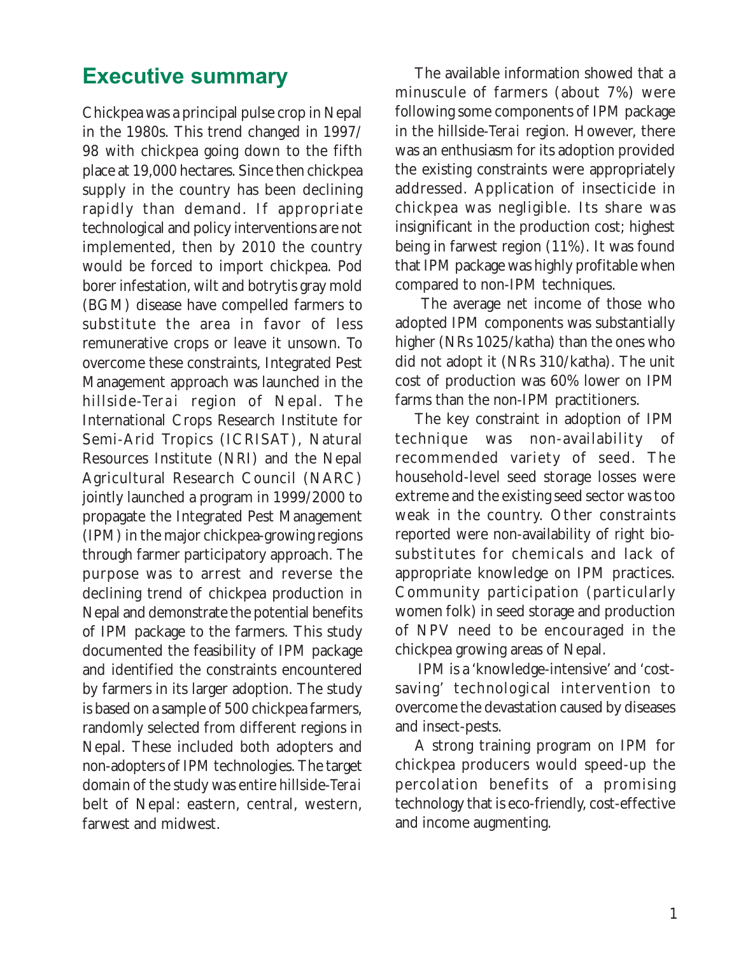### Executive summary

Chickpea was a principal pulse crop in Nepal in the 1980s. This trend changed in 1997/ 98 with chickpea going down to the fifth place at 19,000 hectares. Since then chickpea supply in the country has been declining rapidly than demand. If appropriate technological and policy interventions are not implemented, then by 2010 the country would be forced to import chickpea. Pod borer infestation, wilt and botrytis gray mold (BGM) disease have compelled farmers to substitute the area in favor of less remunerative crops or leave it unsown. To overcome these constraints, Integrated Pest Management approach was launched in the hillside-*Terai* region of Nepal. The International Crops Research Institute for Semi-Arid Tropics (ICRISAT), Natural Resources Institute (NRI) and the Nepal Agricultural Research Council (NARC) jointly launched a program in 1999/2000 to propagate the Integrated Pest Management (IPM) in the major chickpea-growing regions through farmer participatory approach. The purpose was to arrest and reverse the declining trend of chickpea production in Nepal and demonstrate the potential benefits of IPM package to the farmers. This study documented the feasibility of IPM package and identified the constraints encountered by farmers in its larger adoption. The study is based on a sample of 500 chickpea farmers, randomly selected from different regions in Nepal. These included both adopters and non-adopters of IPM technologies. The target domain of the study was entire hillside-*Terai* belt of Nepal: eastern, central, western, farwest and midwest.

The available information showed that a minuscule of farmers (about 7%) were following some components of IPM package in the hillside-*Terai* region. However, there was an enthusiasm for its adoption provided the existing constraints were appropriately addressed. Application of insecticide in chickpea was negligible. Its share was insignificant in the production cost; highest being in farwest region (11%). It was found that IPM package was highly profitable when compared to non-IPM techniques.

 The average net income of those who adopted IPM components was substantially higher (NRs 1025/katha) than the ones who did not adopt it (NRs 310/katha). The unit cost of production was 60% lower on IPM farms than the non-IPM practitioners.

The key constraint in adoption of IPM technique was non-availability of recommended variety of seed. The household-level seed storage losses were extreme and the existing seed sector was too weak in the country. Other constraints reported were non-availability of right biosubstitutes for chemicals and lack of appropriate knowledge on IPM practices. Community participation (particularly women folk) in seed storage and production of NPV need to be encouraged in the chickpea growing areas of Nepal.

 IPM is a 'knowledge-intensive' and 'costsaving' technological intervention to overcome the devastation caused by diseases and insect-pests.

A strong training program on IPM for chickpea producers would speed-up the percolation benefits of a promising technology that is eco-friendly, cost-effective and income augmenting.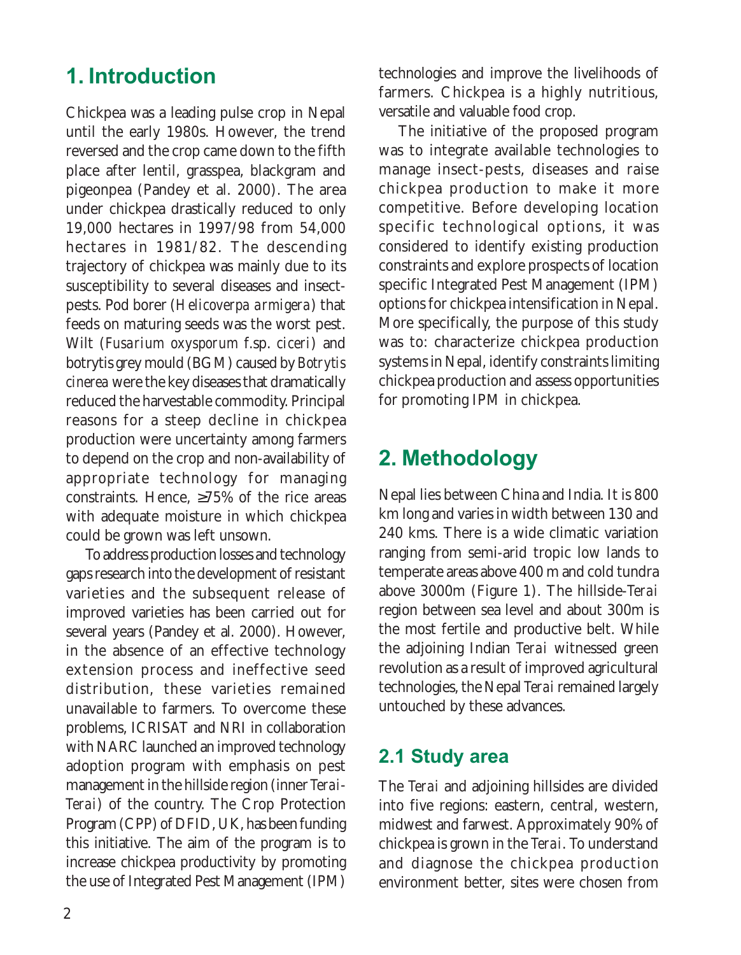### 1. Introduction

Chickpea was a leading pulse crop in Nepal until the early 1980s. However, the trend reversed and the crop came down to the fifth place after lentil, grasspea, blackgram and pigeonpea (Pandey et al. 2000). The area under chickpea drastically reduced to only 19,000 hectares in 1997/98 from 54,000 hectares in 1981/82. The descending trajectory of chickpea was mainly due to its susceptibility to several diseases and insectpests. Pod borer (*Helicoverpa armigera*) that feeds on maturing seeds was the worst pest. Wilt (*Fusarium oxysporum* f.sp. *ciceri*) and botrytis grey mould (BGM) caused by *Botrytis cinerea* were the key diseases that dramatically reduced the harvestable commodity. Principal reasons for a steep decline in chickpea production were uncertainty among farmers to depend on the crop and non-availability of appropriate technology for managing constraints. Hence, ≥75% of the rice areas with adequate moisture in which chickpea could be grown was left unsown.

To address production losses and technology gaps research into the development of resistant varieties and the subsequent release of improved varieties has been carried out for several years (Pandey et al. 2000). However, in the absence of an effective technology extension process and ineffective seed distribution, these varieties remained unavailable to farmers. To overcome these problems, ICRISAT and NRI in collaboration with NARC launched an improved technology adoption program with emphasis on pest management in the hillside region (inner *Terai*-*Terai*) of the country. The Crop Protection Program (CPP) of DFID, UK, has been funding this initiative. The aim of the program is to increase chickpea productivity by promoting the use of Integrated Pest Management (IPM)

technologies and improve the livelihoods of farmers. Chickpea is a highly nutritious, versatile and valuable food crop.

The initiative of the proposed program was to integrate available technologies to manage insect-pests, diseases and raise chickpea production to make it more competitive. Before developing location specific technological options, it was considered to identify existing production constraints and explore prospects of location specific Integrated Pest Management (IPM) options for chickpea intensification in Nepal. More specifically, the purpose of this study was to: characterize chickpea production systems in Nepal, identify constraints limiting chickpea production and assess opportunities for promoting IPM in chickpea.

### 2. Methodology

Nepal lies between China and India. It is 800 km long and varies in width between 130 and 240 kms. There is a wide climatic variation ranging from semi-arid tropic low lands to temperate areas above 400 m and cold tundra above 3000m (Figure 1). The hillside-*Terai* region between sea level and about 300m is the most fertile and productive belt. While the adjoining Indian *Terai* witnessed green revolution as a result of improved agricultural technologies, the Nepal *Terai* remained largely untouched by these advances.

### 2.1 Study area

The *Terai* and adjoining hillsides are divided into five regions: eastern, central, western, midwest and farwest. Approximately 90% of chickpea is grown in the *Terai*. To understand and diagnose the chickpea production environment better, sites were chosen from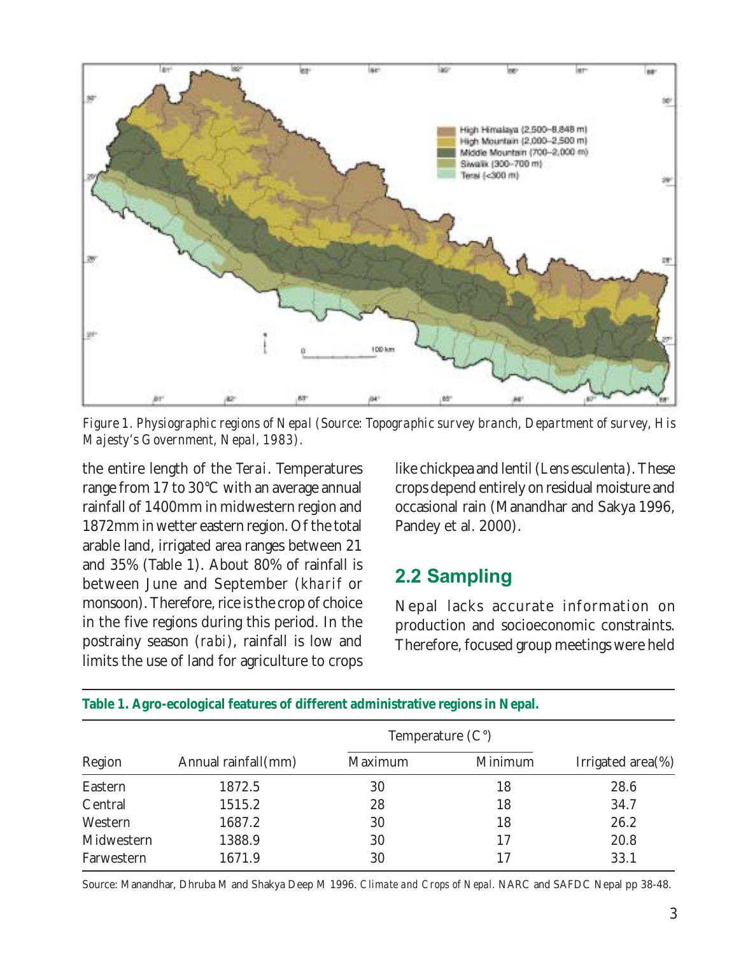

*Figure 1. Physiographic regions of Nepal (Source: Topographic survey branch, Department of survey, His Majesty's Government, Nepal, 1983).*

the entire length of the *Terai*. Temperatures range from 17 to 30°C with an average annual rainfall of 1400mm in midwestern region and 1872mm in wetter eastern region. Of the total arable land, irrigated area ranges between 21 and 35% (Table 1). About 80% of rainfall is between June and September (*kharif* or monsoon). Therefore, rice is the crop of choice in the five regions during this period. In the postrainy season (*rabi*), rainfall is low and limits the use of land for agriculture to crops

like chickpea and lentil (*Lens esculenta*). These crops depend entirely on residual moisture and occasional rain (Manandhar and Sakya 1996, Pandey et al. 2000).

### 2.2 Sampling

Nepal lacks accurate information on production and socioeconomic constraints. Therefore, focused group meetings were held

| Region     |                     |         |         |                       |
|------------|---------------------|---------|---------|-----------------------|
|            | Annual rainfall(mm) | Maximum | Minimum | Irrigated area $(\%)$ |
| Eastern    | 1872.5              | 30      | 18      | 28.6                  |
| Central    | 1515.2              | 28      | 18      | 34.7                  |
| Western    | 1687.2              | 30      | 18      | 26.2                  |
| Midwestern | 1388.9              | 30      | 17      | 20.8                  |
| Farwestern | 1671.9              | 30      | 17      | 33.1                  |

**Table 1. Agro-ecological features of different administrative regions in Nepal.**

Source: Manandhar, Dhruba M and Shakya Deep M 1996. *Climate and Crops of Nepal.* NARC and SAFDC Nepal pp 38-48.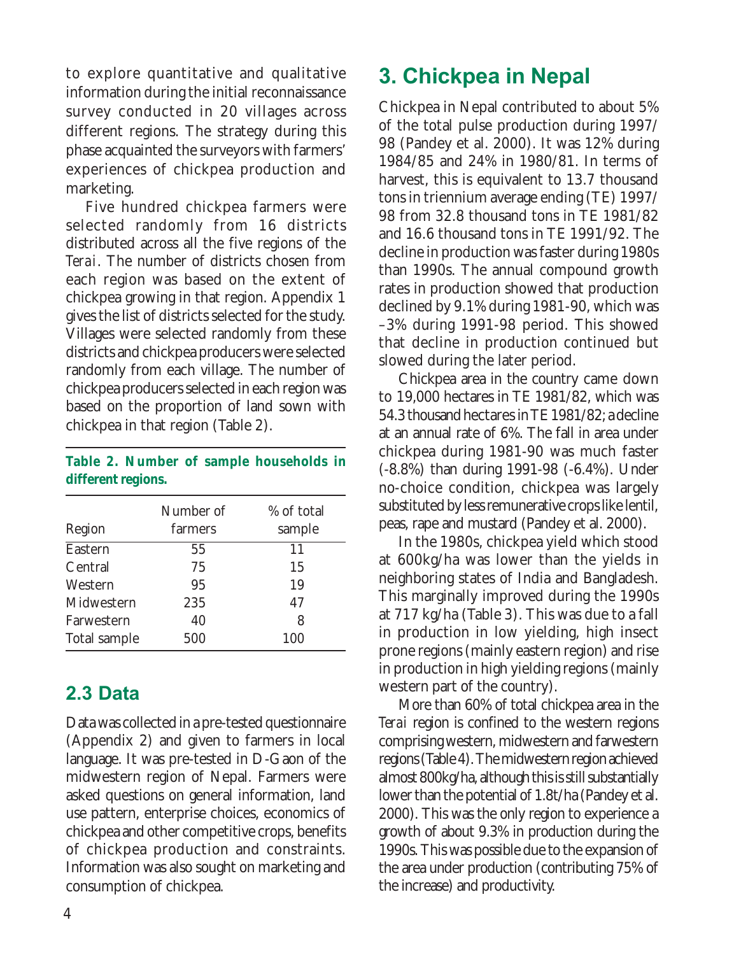to explore quantitative and qualitative information during the initial reconnaissance survey conducted in 20 villages across different regions. The strategy during this phase acquainted the surveyors with farmers' experiences of chickpea production and marketing.

Five hundred chickpea farmers were selected randomly from 16 districts distributed across all the five regions of the *Terai*. The number of districts chosen from each region was based on the extent of chickpea growing in that region. Appendix 1 gives the list of districts selected for the study. Villages were selected randomly from these districts and chickpea producers were selected randomly from each village. The number of chickpea producers selected in each region was based on the proportion of land sown with chickpea in that region (Table 2).

#### **Table 2. Number of sample households in different regions.**

|              | Number of | % of total |
|--------------|-----------|------------|
| Region       | farmers   | sample     |
| Eastern      | 55        | 11         |
| Central      | 75        | 15         |
| Western      | 95        | 19         |
| Midwestern   | 235       | 47         |
| Farwestern   | 40        | 8          |
| Total sample | 500       | 100        |

### 2.3 Data

Data was collected in a pre-tested questionnaire (Appendix 2) and given to farmers in local language. It was pre-tested in D-Gaon of the midwestern region of Nepal. Farmers were asked questions on general information, land use pattern, enterprise choices, economics of chickpea and other competitive crops, benefits of chickpea production and constraints. Information was also sought on marketing and consumption of chickpea.

### 3. Chickpea in Nepal

Chickpea in Nepal contributed to about 5% of the total pulse production during 1997/ 98 (Pandey et al. 2000). It was 12% during 1984/85 and 24% in 1980/81. In terms of harvest, this is equivalent to 13.7 thousand tons in triennium average ending (TE) 1997/ 98 from 32.8 thousand tons in TE 1981/82 and 16.6 thousand tons in TE 1991/92. The decline in production was faster during 1980s than 1990s. The annual compound growth rates in production showed that production declined by 9.1% during 1981-90, which was –3% during 1991-98 period. This showed that decline in production continued but slowed during the later period.

Chickpea area in the country came down to 19,000 hectares in TE 1981/82, which was 54.3 thousand hectares in TE 1981/82; a decline at an annual rate of 6%. The fall in area under chickpea during 1981-90 was much faster (-8.8%) than during 1991-98 (-6.4%). Under no-choice condition, chickpea was largely substituted by less remunerative crops like lentil, peas, rape and mustard (Pandey et al. 2000).

In the 1980s, chickpea yield which stood at 600kg/ha was lower than the yields in neighboring states of India and Bangladesh. This marginally improved during the 1990s at 717 kg/ha (Table 3). This was due to a fall in production in low yielding, high insect prone regions (mainly eastern region) and rise in production in high yielding regions (mainly western part of the country).

More than 60% of total chickpea area in the *Terai* region is confined to the western regions comprising western, midwestern and farwestern regions (Table 4). The midwestern region achieved almost 800kg/ha, although this is still substantially lower than the potential of 1.8t/ha (Pandey et al. 2000). This was the only region to experience a growth of about 9.3% in production during the 1990s. This was possible due to the expansion of the area under production (contributing 75% of the increase) and productivity.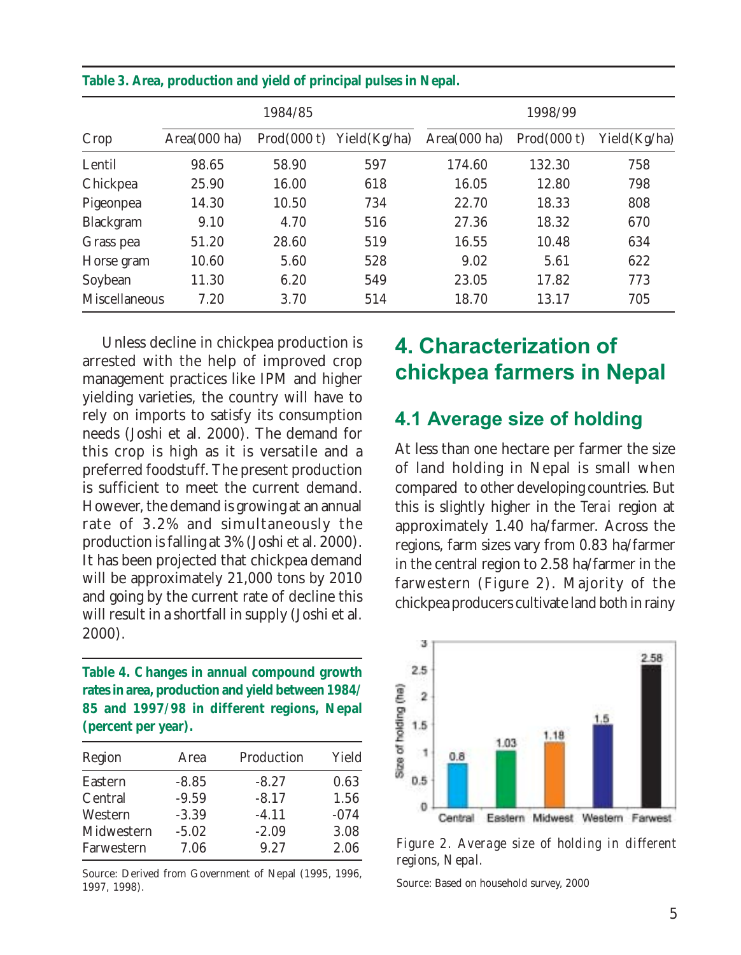|               | 1984/85      |             |               | 1998/99      |             |              |
|---------------|--------------|-------------|---------------|--------------|-------------|--------------|
| Crop          | Area(000 ha) | Prod(000 t) | Yield (Kg/ha) | Area(000 ha) | Prod(000 t) | Yield(Kg/ha) |
| Lentil        | 98.65        | 58.90       | 597           | 174.60       | 132.30      | 758          |
| Chickpea      | 25.90        | 16.00       | 618           | 16.05        | 12.80       | 798          |
| Pigeonpea     | 14.30        | 10.50       | 734           | 22.70        | 18.33       | 808          |
| Blackgram     | 9.10         | 4.70        | 516           | 27.36        | 18.32       | 670          |
| Grass pea     | 51.20        | 28.60       | 519           | 16.55        | 10.48       | 634          |
| Horse gram    | 10.60        | 5.60        | 528           | 9.02         | 5.61        | 622          |
| Soybean       | 11.30        | 6.20        | 549           | 23.05        | 17.82       | 773          |
| Miscellaneous | 7.20         | 3.70        | 514           | 18.70        | 13.17       | 705          |

#### **Table 3. Area, production and yield of principal pulses in Nepal.**

Unless decline in chickpea production is arrested with the help of improved crop management practices like IPM and higher yielding varieties, the country will have to rely on imports to satisfy its consumption needs (Joshi et al. 2000). The demand for this crop is high as it is versatile and a preferred foodstuff. The present production is sufficient to meet the current demand. However, the demand is growing at an annual rate of 3.2% and simultaneously the production is falling at 3% (Joshi et al. 2000). It has been projected that chickpea demand will be approximately 21,000 tons by 2010 and going by the current rate of decline this will result in a shortfall in supply (Joshi et al. 2000).

**Table 4. Changes in annual compound growth rates in area, production and yield between 1984/ 85 and 1997/98 in different regions, Nepal (percent per year).**

| Region     | Area    | Production | Yield  |
|------------|---------|------------|--------|
| Eastern    | $-8.85$ | $-8.27$    | 0.63   |
| Central    | $-9.59$ | $-8.17$    | 1.56   |
| Western    | $-3.39$ | $-4.11$    | $-074$ |
| Midwestern | $-5.02$ | $-2.09$    | 3.08   |
| Farwestern | 7.06    | 9.27       | 2.06   |

Source: Derived from Government of Nepal (1995, 1996, 1997, 1998).

### 4. Characterization of chickpea farmers in Nepal

#### 4.1 Average size of holding

At less than one hectare per farmer the size of land holding in Nepal is small when compared to other developing countries. But this is slightly higher in the *Terai* region at approximately 1.40 ha/farmer. Across the regions, farm sizes vary from 0.83 ha/farmer in the central region to 2.58 ha/farmer in the farwestern (Figure 2). Majority of the chickpea producers cultivate land both in rainy



*Figure 2. Average size of holding in different regions, Nepal.*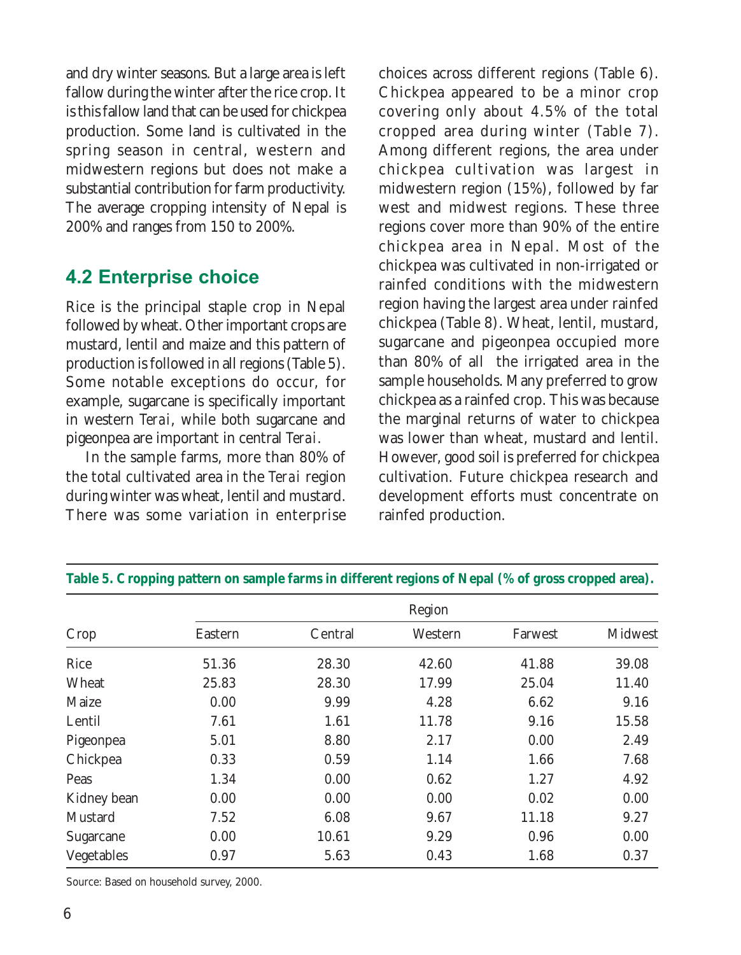and dry winter seasons. But a large area is left fallow during the winter after the rice crop. It is this fallow land that can be used for chickpea production. Some land is cultivated in the spring season in central, western and midwestern regions but does not make a substantial contribution for farm productivity. The average cropping intensity of Nepal is 200% and ranges from 150 to 200%.

### 4.2 Enterprise choice

Rice is the principal staple crop in Nepal followed by wheat. Other important crops are mustard, lentil and maize and this pattern of production is followed in all regions (Table 5). Some notable exceptions do occur, for example, sugarcane is specifically important in western *Terai*, while both sugarcane and pigeonpea are important in central *Terai*.

In the sample farms, more than 80% of the total cultivated area in the *Terai* region during winter was wheat, lentil and mustard. There was some variation in enterprise

choices across different regions (Table 6). Chickpea appeared to be a minor crop covering only about 4.5% of the total cropped area during winter (Table 7). Among different regions, the area under chickpea cultivation was largest in midwestern region (15%), followed by far west and midwest regions. These three regions cover more than 90% of the entire chickpea area in Nepal. Most of the chickpea was cultivated in non-irrigated or rainfed conditions with the midwestern region having the largest area under rainfed chickpea (Table 8). Wheat, lentil, mustard, sugarcane and pigeonpea occupied more than 80% of all the irrigated area in the sample households. Many preferred to grow chickpea as a rainfed crop. This was because the marginal returns of water to chickpea was lower than wheat, mustard and lentil. However, good soil is preferred for chickpea cultivation. Future chickpea research and development efforts must concentrate on rainfed production.

|             | Region  |         |         |         |         |  |  |
|-------------|---------|---------|---------|---------|---------|--|--|
| Crop        | Eastern | Central | Western | Farwest | Midwest |  |  |
| Rice        | 51.36   | 28.30   | 42.60   | 41.88   | 39.08   |  |  |
| Wheat       | 25.83   | 28.30   | 17.99   | 25.04   | 11.40   |  |  |
| Maize       | 0.00    | 9.99    | 4.28    | 6.62    | 9.16    |  |  |
| Lentil      | 7.61    | 1.61    | 11.78   | 9.16    | 15.58   |  |  |
| Pigeonpea   | 5.01    | 8.80    | 2.17    | 0.00    | 2.49    |  |  |
| Chickpea    | 0.33    | 0.59    | 1.14    | 1.66    | 7.68    |  |  |
| Peas        | 1.34    | 0.00    | 0.62    | 1.27    | 4.92    |  |  |
| Kidney bean | 0.00    | 0.00    | 0.00    | 0.02    | 0.00    |  |  |
| Mustard     | 7.52    | 6.08    | 9.67    | 11.18   | 9.27    |  |  |
| Sugarcane   | 0.00    | 10.61   | 9.29    | 0.96    | 0.00    |  |  |
| Vegetables  | 0.97    | 5.63    | 0.43    | 1.68    | 0.37    |  |  |

#### **Table 5. Cropping pattern on sample farms in different regions of Nepal (% of gross cropped area).**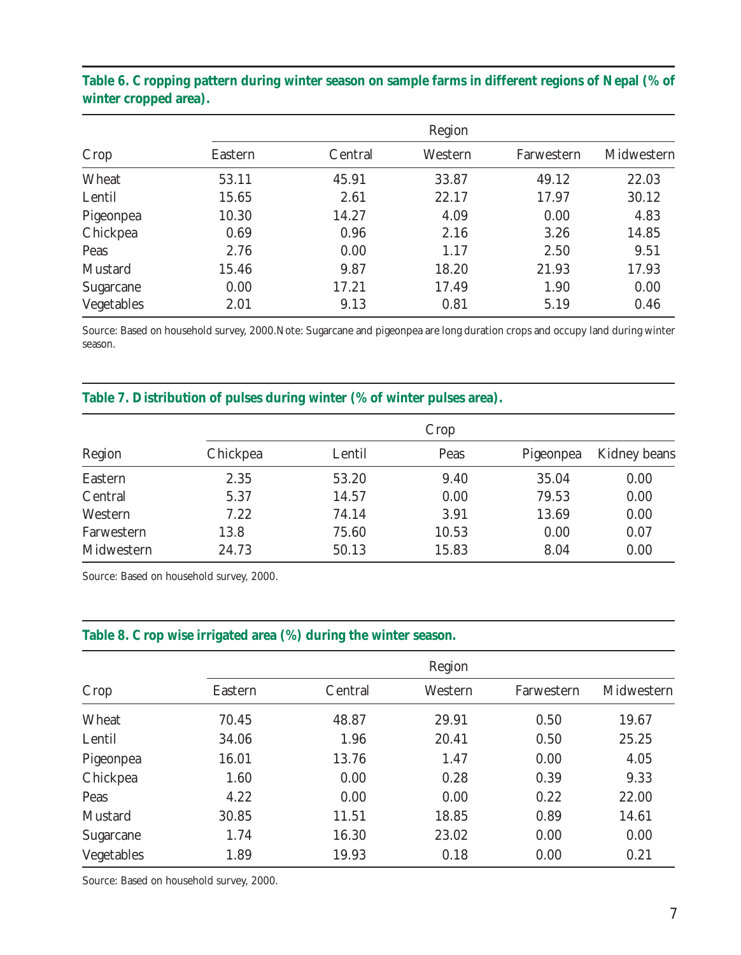|            | Region  |         |         |            |            |  |  |
|------------|---------|---------|---------|------------|------------|--|--|
| Crop       | Eastern | Central | Western | Farwestern | Midwestern |  |  |
| Wheat      | 53.11   | 45.91   | 33.87   | 49.12      | 22.03      |  |  |
| Lentil     | 15.65   | 2.61    | 22.17   | 17.97      | 30.12      |  |  |
| Pigeonpea  | 10.30   | 14.27   | 4.09    | 0.00       | 4.83       |  |  |
| Chickpea   | 0.69    | 0.96    | 2.16    | 3.26       | 14.85      |  |  |
| Peas       | 2.76    | 0.00    | 1.17    | 2.50       | 9.51       |  |  |
| Mustard    | 15.46   | 9.87    | 18.20   | 21.93      | 17.93      |  |  |
| Sugarcane  | 0.00    | 17.21   | 17.49   | 1.90       | 0.00       |  |  |
| Vegetables | 2.01    | 9.13    | 0.81    | 5.19       | 0.46       |  |  |

#### **Table 6. Cropping pattern during winter season on sample farms in different regions of Nepal (% of winter cropped area).**

Source: Based on household survey, 2000.Note: Sugarcane and pigeonpea are long duration crops and occupy land during winter season.

#### **Table 7. Distribution of pulses during winter (% of winter pulses area).**

|            |          | Crop   |       |           |              |  |  |  |
|------------|----------|--------|-------|-----------|--------------|--|--|--|
| Region     | Chickpea | Lentil | Peas  | Pigeonpea | Kidney beans |  |  |  |
| Eastern    | 2.35     | 53.20  | 9.40  | 35.04     | 0.00         |  |  |  |
| Central    | 5.37     | 14.57  | 0.00  | 79.53     | 0.00         |  |  |  |
| Western    | 7.22     | 74.14  | 3.91  | 13.69     | 0.00         |  |  |  |
| Farwestern | 13.8     | 75.60  | 10.53 | 0.00      | 0.07         |  |  |  |
| Midwestern | 24.73    | 50.13  | 15.83 | 8.04      | 0.00         |  |  |  |

Source: Based on household survey, 2000.

#### **Table 8. Crop wise irrigated area (%) during the winter season.**

|            | Region  |         |         |            |            |  |  |  |
|------------|---------|---------|---------|------------|------------|--|--|--|
| Crop       | Eastern | Central | Western | Farwestern | Midwestern |  |  |  |
| Wheat      | 70.45   | 48.87   | 29.91   | 0.50       | 19.67      |  |  |  |
| Lentil     | 34.06   | 1.96    | 20.41   | 0.50       | 25.25      |  |  |  |
| Pigeonpea  | 16.01   | 13.76   | 1.47    | 0.00       | 4.05       |  |  |  |
| Chickpea   | 1.60    | 0.00    | 0.28    | 0.39       | 9.33       |  |  |  |
| Peas       | 4.22    | 0.00    | 0.00    | 0.22       | 22.00      |  |  |  |
| Mustard    | 30.85   | 11.51   | 18.85   | 0.89       | 14.61      |  |  |  |
| Sugarcane  | 1.74    | 16.30   | 23.02   | 0.00       | 0.00       |  |  |  |
| Vegetables | 1.89    | 19.93   | 0.18    | 0.00       | 0.21       |  |  |  |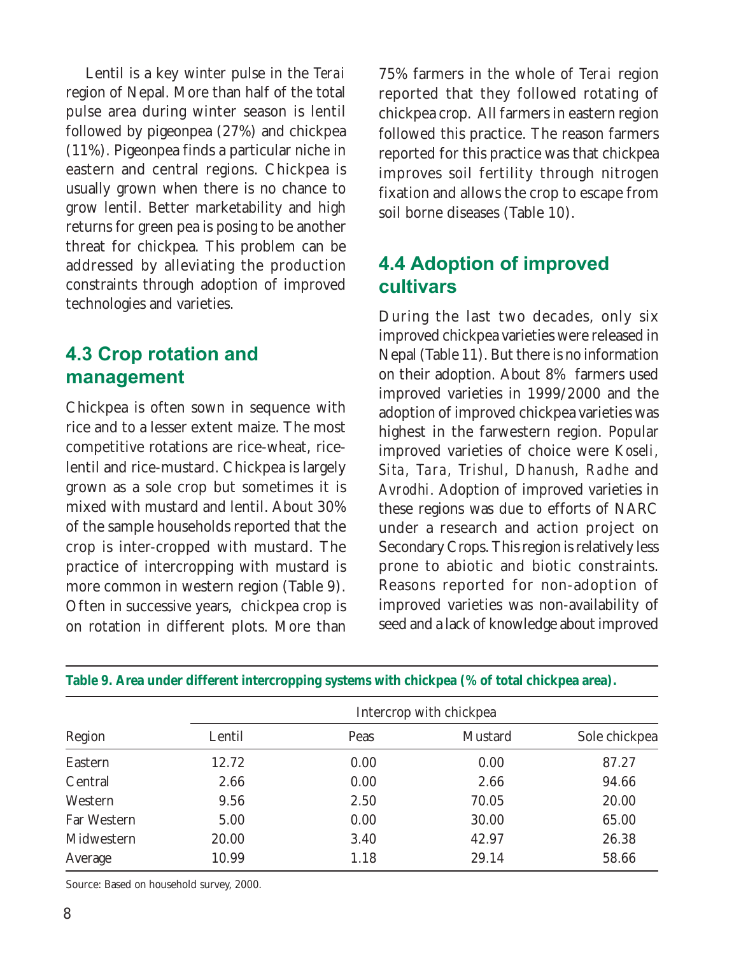Lentil is a key winter pulse in the *Terai* region of Nepal. More than half of the total pulse area during winter season is lentil followed by pigeonpea (27%) and chickpea (11%). Pigeonpea finds a particular niche in eastern and central regions. Chickpea is usually grown when there is no chance to grow lentil. Better marketability and high returns for green pea is posing to be another threat for chickpea. This problem can be addressed by alleviating the production constraints through adoption of improved technologies and varieties.

### 4.3 Crop rotation and management

Chickpea is often sown in sequence with rice and to a lesser extent maize. The most competitive rotations are rice-wheat, ricelentil and rice-mustard. Chickpea is largely grown as a sole crop but sometimes it is mixed with mustard and lentil. About 30% of the sample households reported that the crop is inter-cropped with mustard. The practice of intercropping with mustard is more common in western region (Table 9). Often in successive years, chickpea crop is on rotation in different plots. More than

75% farmers in the whole of *Terai* region reported that they followed rotating of chickpea crop. All farmers in eastern region followed this practice. The reason farmers reported for this practice was that chickpea improves soil fertility through nitrogen fixation and allows the crop to escape from soil borne diseases (Table 10).

### 4.4 Adoption of improved cultivars

During the last two decades, only six improved chickpea varieties were released in Nepal (Table 11). But there is no information on their adoption. About 8% farmers used improved varieties in 1999/2000 and the adoption of improved chickpea varieties was highest in the farwestern region. Popular improved varieties of choice were *Koseli, Sita, Tara, Trishul, Dhanush, Radhe* and *Avrodhi*. Adoption of improved varieties in these regions was due to efforts of NARC under a research and action project on Secondary Crops. This region is relatively less prone to abiotic and biotic constraints. Reasons reported for non-adoption of improved varieties was non-availability of seed and a lack of knowledge about improved

|             | Intercrop with chickpea |      |         |               |  |  |  |
|-------------|-------------------------|------|---------|---------------|--|--|--|
| Region      | Lentil                  | Peas | Mustard | Sole chickpea |  |  |  |
| Eastern     | 12.72                   | 0.00 | 0.00    | 87.27         |  |  |  |
| Central     | 2.66                    | 0.00 | 2.66    | 94.66         |  |  |  |
| Western     | 9.56                    | 2.50 | 70.05   | 20.00         |  |  |  |
| Far Western | 5.00                    | 0.00 | 30.00   | 65.00         |  |  |  |
| Midwestern  | 20.00                   | 3.40 | 42.97   | 26.38         |  |  |  |
| Average     | 10.99                   | 1.18 | 29.14   | 58.66         |  |  |  |

**Table 9. Area under different intercropping systems with chickpea (% of total chickpea area).**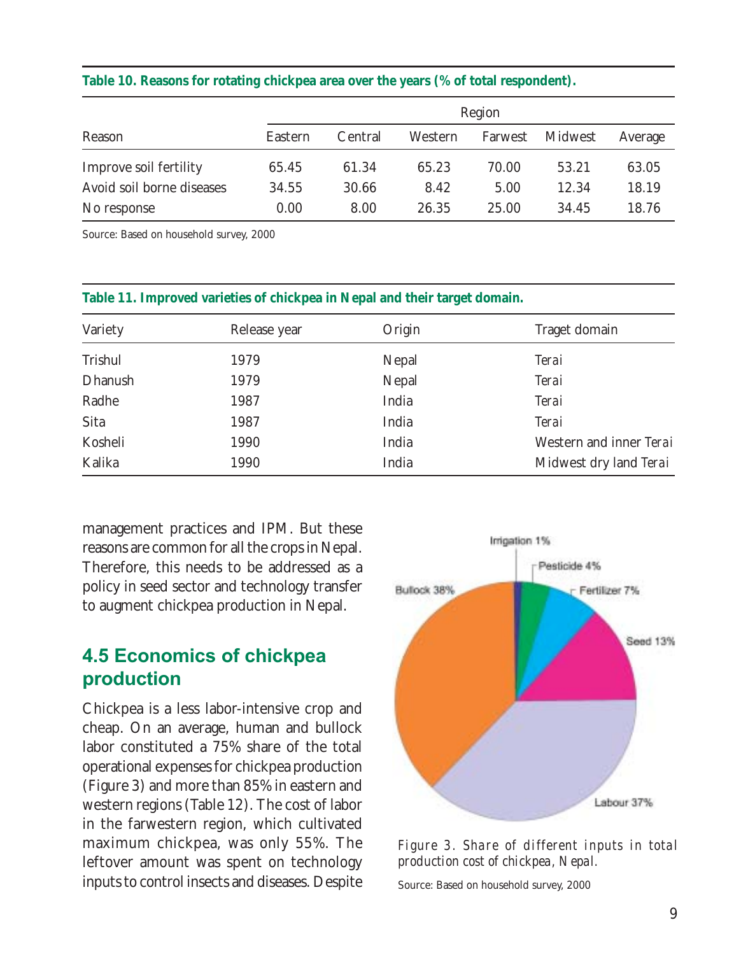|  |  |  |  | Table 10. Reasons for rotating chickpea area over the years (% of total respondent). |
|--|--|--|--|--------------------------------------------------------------------------------------|
|  |  |  |  |                                                                                      |

|                           |         | Region  |         |         |         |         |
|---------------------------|---------|---------|---------|---------|---------|---------|
| Reason                    | Eastern | Central | Western | Farwest | Midwest | Average |
| Improve soil fertility    | 65.45   | 61.34   | 65.23   | 70.00   | 53.21   | 63.05   |
| Avoid soil borne diseases | 34.55   | 30.66   | 8.42    | 5.00    | 12.34   | 18.19   |
| No response               | 0.00    | 8.00    | 26.35   | 25.00   | 34.45   | 18.76   |

Source: Based on household survey, 2000

| Variety | Release year | Origin | Traget domain           |
|---------|--------------|--------|-------------------------|
| Trishul | 1979         | Nepal  | Terai                   |
| Dhanush | 1979         | Nepal  | Terai                   |
| Radhe   | 1987         | India  | Terai                   |
| Sita    | 1987         | India  | Terai                   |
| Kosheli | 1990         | India  | Western and inner Terai |
| Kalika  | 1990         | India  | Midwest dry land Terai  |
|         |              |        |                         |

**Table 11. Improved varieties of chickpea in Nepal and their target domain.**

management practices and IPM. But these reasons are common for all the crops in Nepal. Therefore, this needs to be addressed as a policy in seed sector and technology transfer to augment chickpea production in Nepal.

### 4.5 Economics of chickpea production

Chickpea is a less labor-intensive crop and cheap. On an average, human and bullock labor constituted a 75% share of the total operational expenses for chickpea production (Figure 3) and more than 85% in eastern and western regions (Table 12). The cost of labor in the farwestern region, which cultivated maximum chickpea, was only 55%. The leftover amount was spent on technology inputs to control insects and diseases. Despite



*Figure 3. Share of different inputs in total production cost of chickpea, Nepal.*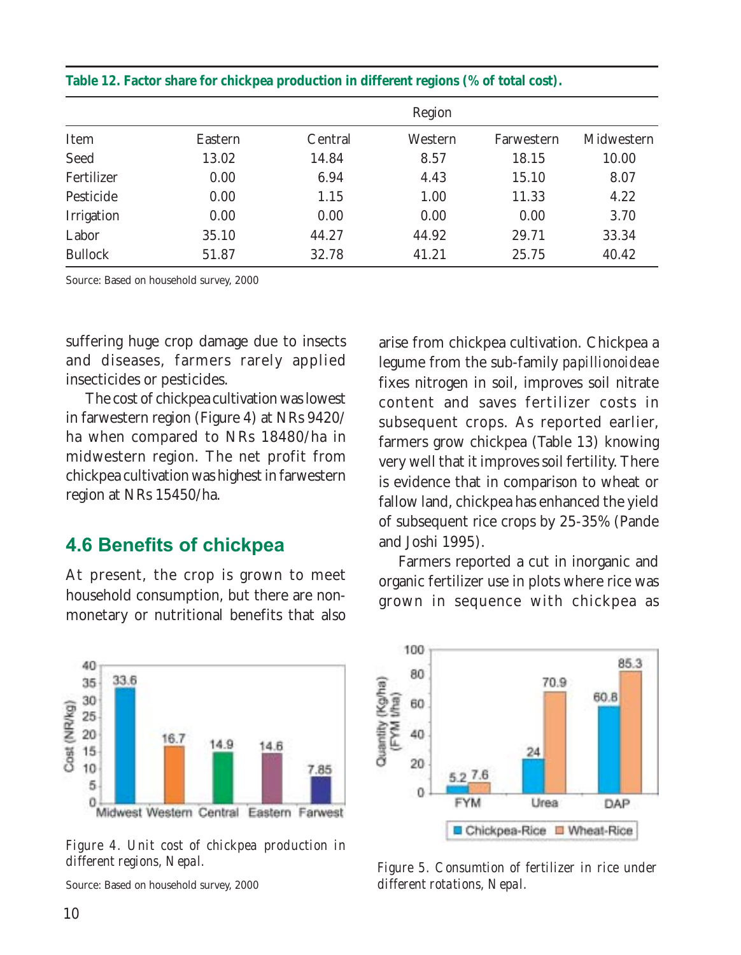|                |         |         | Region  |            |            |
|----------------|---------|---------|---------|------------|------------|
| Item           | Eastern | Central | Western | Farwestern | Midwestern |
| Seed           | 13.02   | 14.84   | 8.57    | 18.15      | 10.00      |
| Fertilizer     | 0.00    | 6.94    | 4.43    | 15.10      | 8.07       |
| Pesticide      | 0.00    | 1.15    | 1.00    | 11.33      | 4.22       |
| Irrigation     | 0.00    | 0.00    | 0.00    | 0.00       | 3.70       |
| Labor          | 35.10   | 44.27   | 44.92   | 29.71      | 33.34      |
| <b>Bullock</b> | 51.87   | 32.78   | 41.21   | 25.75      | 40.42      |

#### **Table 12. Factor share for chickpea production in different regions (% of total cost).**

Source: Based on household survey, 2000

suffering huge crop damage due to insects and diseases, farmers rarely applied insecticides or pesticides.

The cost of chickpea cultivation was lowest in farwestern region (Figure 4) at NRs 9420/ ha when compared to NRs 18480/ha in midwestern region. The net profit from chickpea cultivation was highest in farwestern region at NRs 15450/ha.

#### 4.6 Benefits of chickpea

At present, the crop is grown to meet household consumption, but there are nonmonetary or nutritional benefits that also

arise from chickpea cultivation. Chickpea a legume from the sub-family *papillionoideae* fixes nitrogen in soil, improves soil nitrate content and saves fertilizer costs in subsequent crops. As reported earlier, farmers grow chickpea (Table 13) knowing very well that it improves soil fertility. There is evidence that in comparison to wheat or fallow land, chickpea has enhanced the yield of subsequent rice crops by 25-35% (Pande and Joshi 1995).

Farmers reported a cut in inorganic and organic fertilizer use in plots where rice was grown in sequence with chickpea as



*Figure 4. Unit cost of chickpea production in different regions, Nepal.*



*Figure 5. Consumtion of fertilizer in rice under different rotations, Nepal.*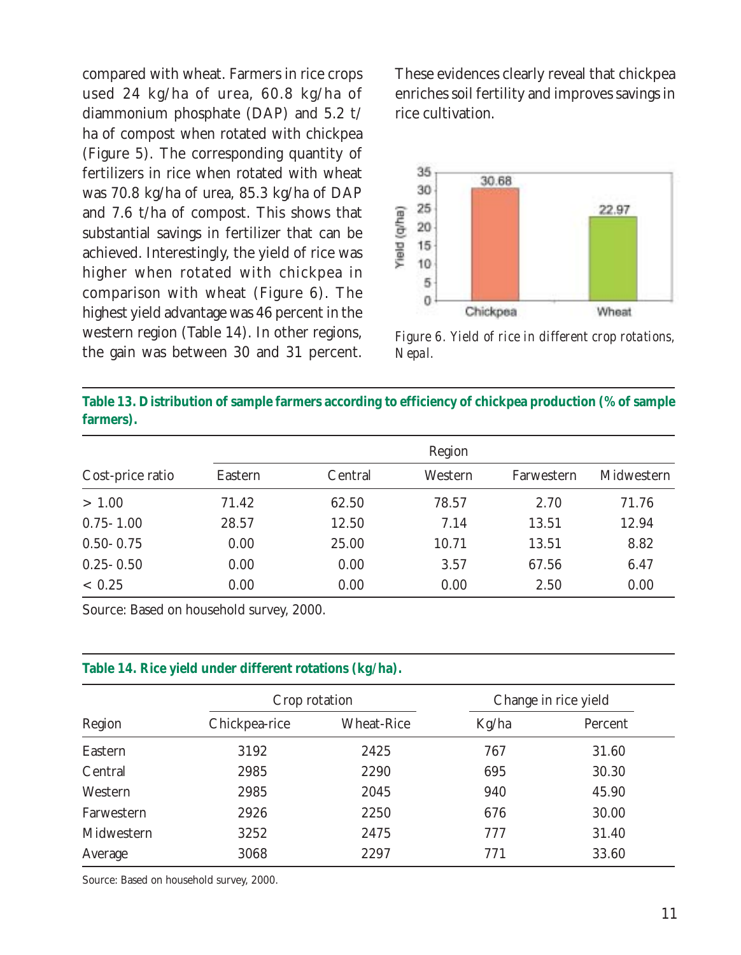compared with wheat. Farmers in rice crops used 24 kg/ha of urea, 60.8 kg/ha of diammonium phosphate (DAP) and 5.2 t/ ha of compost when rotated with chickpea (Figure 5). The corresponding quantity of fertilizers in rice when rotated with wheat was 70.8 kg/ha of urea, 85.3 kg/ha of DAP and 7.6 t/ha of compost. This shows that substantial savings in fertilizer that can be achieved. Interestingly, the yield of rice was higher when rotated with chickpea in comparison with wheat (Figure 6). The highest yield advantage was 46 percent in the western region (Table 14). In other regions, the gain was between 30 and 31 percent.

These evidences clearly reveal that chickpea enriches soil fertility and improves savings in rice cultivation.



*Figure 6. Yield of rice in different crop rotations, Nepal.*

| Table 13. Distribution of sample farmers according to efficiency of chickpea production (% of sample |  |
|------------------------------------------------------------------------------------------------------|--|
| farmers).                                                                                            |  |

|                  |         |         | Region  |            |            |
|------------------|---------|---------|---------|------------|------------|
| Cost-price ratio | Eastern | Central | Western | Farwestern | Midwestern |
| > 1.00           | 71.42   | 62.50   | 78.57   | 2.70       | 71.76      |
| $0.75 - 1.00$    | 28.57   | 12.50   | 7.14    | 13.51      | 12.94      |
| $0.50 - 0.75$    | 0.00    | 25.00   | 10.71   | 13.51      | 8.82       |
| $0.25 - 0.50$    | 0.00    | 0.00    | 3.57    | 67.56      | 6.47       |
| ~< 0.25          | 0.00    | 0.00    | 0.00    | 2.50       | 0.00       |

Source: Based on household survey, 2000.

#### **Table 14. Rice yield under different rotations (kg/ha).**

|            |               | Crop rotation     |       | Change in rice yield |
|------------|---------------|-------------------|-------|----------------------|
| Region     | Chickpea-rice | <b>Wheat-Rice</b> | Kg/ha | Percent              |
| Eastern    | 3192          | 2425              | 767   | 31.60                |
| Central    | 2985          | 2290              | 695   | 30.30                |
| Western    | 2985          | 2045              | 940   | 45.90                |
| Farwestern | 2926          | 2250              | 676   | 30.00                |
| Midwestern | 3252          | 2475              | 777   | 31.40                |
| Average    | 3068          | 2297              | 771   | 33.60                |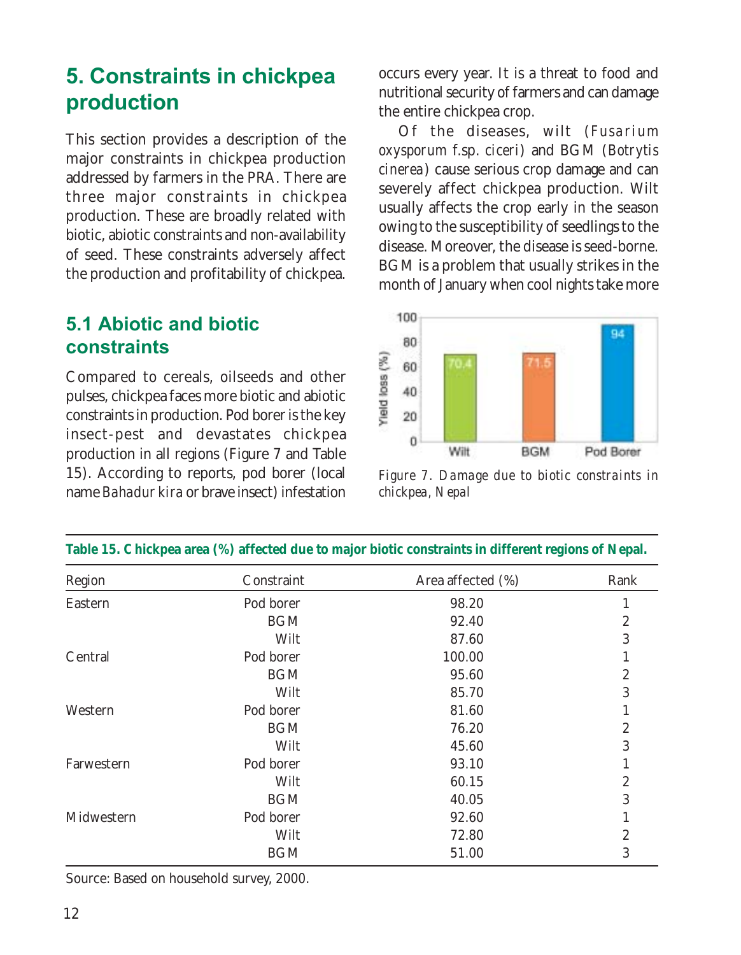### 5. Constraints in chickpea production

This section provides a description of the major constraints in chickpea production addressed by farmers in the PRA. There are three major constraints in chickpea production. These are broadly related with biotic, abiotic constraints and non-availability of seed. These constraints adversely affect the production and profitability of chickpea.

### 5.1 Abiotic and biotic constraints

Compared to cereals, oilseeds and other pulses, chickpea faces more biotic and abiotic constraints in production. Pod borer is the key insect-pest and devastates chickpea production in all regions (Figure 7 and Table 15). According to reports, pod borer (local name *Bahadur kira* or brave insect) infestation occurs every year. It is a threat to food and nutritional security of farmers and can damage the entire chickpea crop.

Of the diseases, wilt (*Fusarium oxysporum* f.sp. *ciceri*) and BGM (*Botrytis cinerea*) cause serious crop damage and can severely affect chickpea production. Wilt usually affects the crop early in the season owing to the susceptibility of seedlings to the disease. Moreover, the disease is seed-borne. BGM is a problem that usually strikes in the month of January when cool nights take more



*Figure 7. Damage due to biotic constraints in chickpea, Nepal*

| Region     | Constraint | Area affected (%) | Rank             |
|------------|------------|-------------------|------------------|
| Eastern    | Pod borer  | 98.20             | 1                |
|            | <b>BGM</b> | 92.40             | $\boldsymbol{2}$ |
|            | Wilt       | 87.60             | 3                |
| Central    | Pod borer  | 100.00            |                  |
|            | <b>BGM</b> | 95.60             | $\boldsymbol{2}$ |
|            | Wilt       | 85.70             | 3                |
| Western    | Pod borer  | 81.60             |                  |
|            | <b>BGM</b> | 76.20             | $\boldsymbol{2}$ |
|            | Wilt       | 45.60             | 3                |
| Farwestern | Pod borer  | 93.10             | 1                |
|            | Wilt       | 60.15             | $\boldsymbol{2}$ |
|            | <b>BGM</b> | 40.05             | 3                |
| Midwestern | Pod borer  | 92.60             |                  |
|            | Wilt       | 72.80             | 2                |
|            | <b>BGM</b> | 51.00             | 3                |

**Table 15. Chickpea area (%) affected due to major biotic constraints in different regions of Nepal.**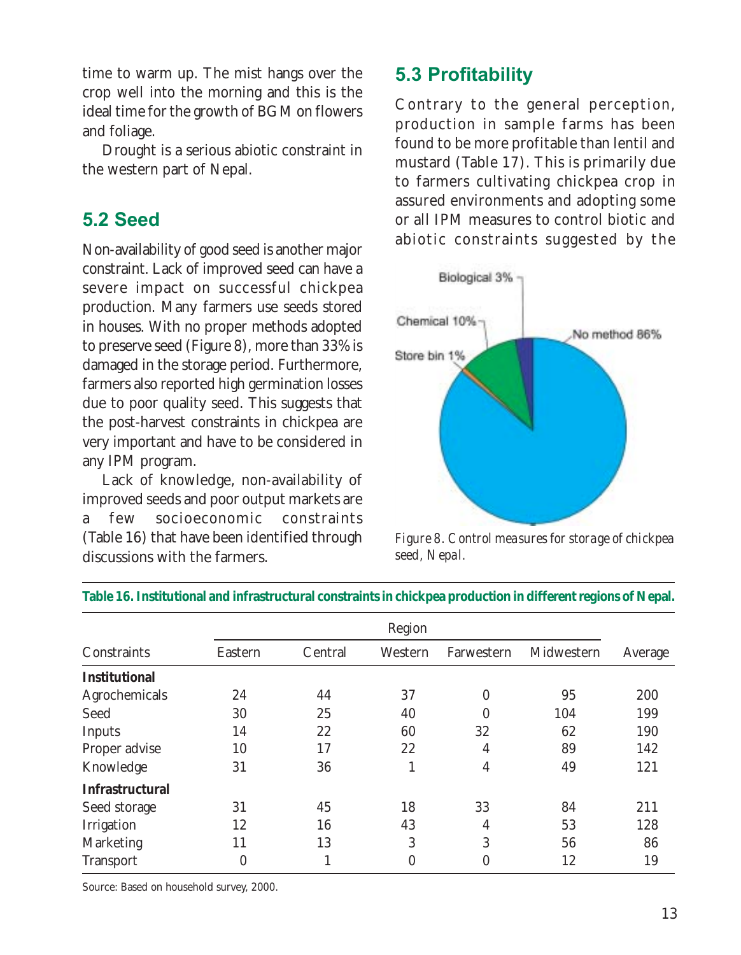time to warm up. The mist hangs over the crop well into the morning and this is the ideal time for the growth of BGM on flowers and foliage.

Drought is a serious abiotic constraint in the western part of Nepal.

### 5.2 Seed

Non-availability of good seed is another major constraint. Lack of improved seed can have a severe impact on successful chickpea production. Many farmers use seeds stored in houses. With no proper methods adopted to preserve seed (Figure 8), more than 33% is damaged in the storage period. Furthermore, farmers also reported high germination losses due to poor quality seed. This suggests that the post-harvest constraints in chickpea are very important and have to be considered in any IPM program.

Lack of knowledge, non-availability of improved seeds and poor output markets are a few socioeconomic constraints (Table 16) that have been identified through discussions with the farmers.

### 5.3 Profitability

Contrary to the general perception, production in sample farms has been found to be more profitable than lentil and mustard (Table 17). This is primarily due to farmers cultivating chickpea crop in assured environments and adopting some or all IPM measures to control biotic and abiotic constraints suggested by the



*Figure 8. Control measures for storage of chickpea seed, Nepal.*

|                        | Region           |         |         |            |            |         |
|------------------------|------------------|---------|---------|------------|------------|---------|
| Constraints            | Eastern          | Central | Western | Farwestern | Midwestern | Average |
| <b>Institutional</b>   |                  |         |         |            |            |         |
| Agrochemicals          | 24               | 44      | 37      | $\Omega$   | 95         | 200     |
| Seed                   | 30               | 25      | 40      | 0          | 104        | 199     |
| Inputs                 | 14               | 22      | 60      | 32         | 62         | 190     |
| Proper advise          | 10               | 17      | 22      | 4          | 89         | 142     |
| Knowledge              | 31               | 36      |         | 4          | 49         | 121     |
| <b>Infrastructural</b> |                  |         |         |            |            |         |
| Seed storage           | 31               | 45      | 18      | 33         | 84         | 211     |
| Irrigation             | 12               | 16      | 43      | 4          | 53         | 128     |
| Marketing              | 11               | 13      | 3       | 3          | 56         | 86      |
| <b>Transport</b>       | $\boldsymbol{0}$ | T       | 0       | 0          | 12         | 19      |

**Table 16. Institutional and infrastructural constraints in chickpea production in different regions of Nepal.**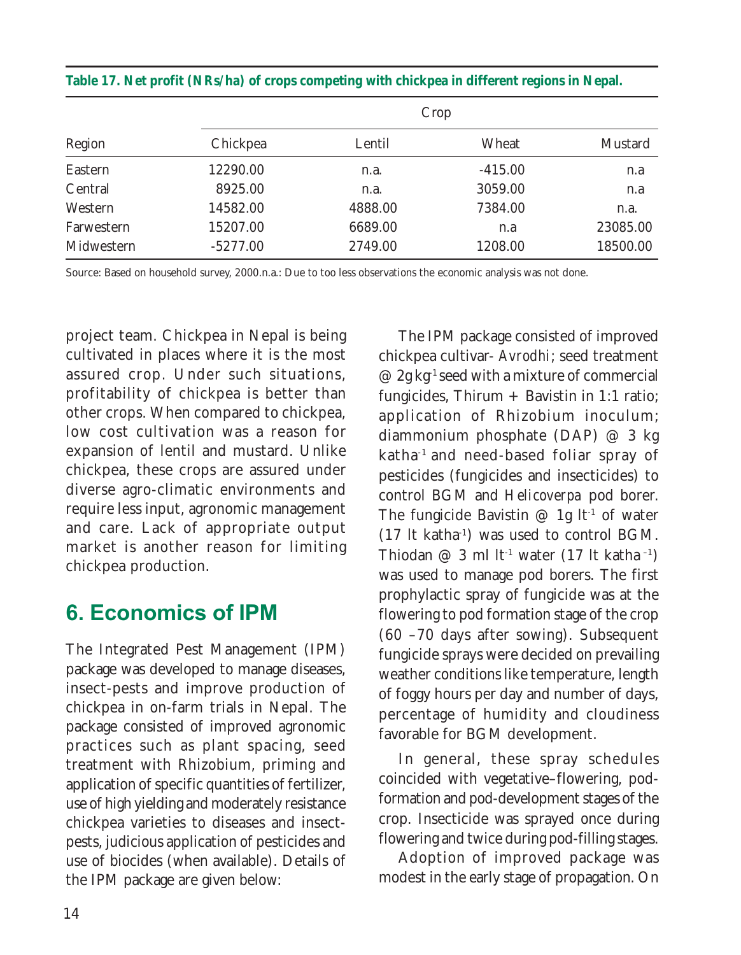|            |            | Crop    |           |          |
|------------|------------|---------|-----------|----------|
| Region     | Chickpea   | Lentil  | Wheat     | Mustard  |
| Eastern    | 12290.00   | n.a.    | $-415.00$ | n.a      |
| Central    | 8925.00    | n.a.    | 3059.00   | n.a      |
| Western    | 14582.00   | 4888.00 | 7384.00   | n.a.     |
| Farwestern | 15207.00   | 6689.00 | n.a       | 23085.00 |
| Midwestern | $-5277.00$ | 2749.00 | 1208.00   | 18500.00 |

**Table 17. Net profit (NRs/ha) of crops competing with chickpea in different regions in Nepal.**

Source: Based on household survey, 2000.n.a.: Due to too less observations the economic analysis was not done.

project team. Chickpea in Nepal is being cultivated in places where it is the most assured crop. Under such situations, profitability of chickpea is better than other crops. When compared to chickpea, low cost cultivation was a reason for expansion of lentil and mustard. Unlike chickpea, these crops are assured under diverse agro-climatic environments and require less input, agronomic management and care. Lack of appropriate output market is another reason for limiting chickpea production.

### 6. Economics of IPM

The Integrated Pest Management (IPM) package was developed to manage diseases, insect-pests and improve production of chickpea in on-farm trials in Nepal. The package consisted of improved agronomic practices such as plant spacing, seed treatment with Rhizobium, priming and application of specific quantities of fertilizer, use of high yielding and moderately resistance chickpea varieties to diseases and insectpests, judicious application of pesticides and use of biocides (when available). Details of the IPM package are given below:

The IPM package consisted of improved chickpea cultivar- *Avrodhi*; seed treatment  $\varnothing$  2g kg<sup>-1</sup> seed with a mixture of commercial fungicides, Thirum  $+$  Bavistin in 1:1 ratio; application of Rhizobium inoculum; diammonium phosphate (DAP) @ 3 kg katha-1 and need-based foliar spray of pesticides (fungicides and insecticides) to control BGM and *Helicoverpa* pod borer. The fungicide Bavistin  $\varnothing$  1g lt<sup>-1</sup> of water  $(17 \text{ It } \text{katha}^{-1})$  was used to control BGM. Thiodan @ 3 ml lt<sup>-1</sup> water (17 lt katha<sup>-1</sup>) was used to manage pod borers. The first prophylactic spray of fungicide was at the flowering to pod formation stage of the crop (60 –70 days after sowing). Subsequent fungicide sprays were decided on prevailing weather conditions like temperature, length of foggy hours per day and number of days, percentage of humidity and cloudiness favorable for BGM development.

In general, these spray schedules coincided with vegetative–flowering, podformation and pod-development stages of the crop. Insecticide was sprayed once during flowering and twice during pod-filling stages.

Adoption of improved package was modest in the early stage of propagation. On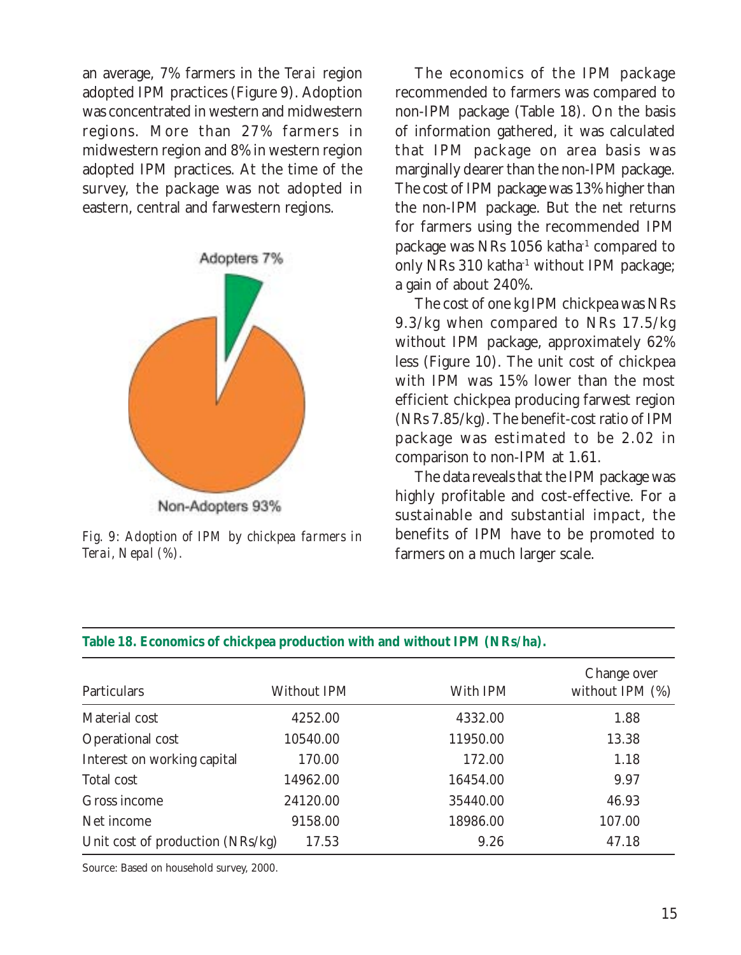an average, 7% farmers in the *Terai* region adopted IPM practices (Figure 9). Adoption was concentrated in western and midwestern regions. More than 27% farmers in midwestern region and 8% in western region adopted IPM practices. At the time of the survey, the package was not adopted in eastern, central and farwestern regions.



*Fig. 9: Adoption of IPM by chickpea farmers in Terai, Nepal (%).*

The economics of the IPM package recommended to farmers was compared to non-IPM package (Table 18). On the basis of information gathered, it was calculated that IPM package on area basis was marginally dearer than the non-IPM package. The cost of IPM package was 13% higher than the non-IPM package. But the net returns for farmers using the recommended IPM package was NRs 1056 katha<sup>-1</sup> compared to only NRs 310 katha<sup>-1</sup> without IPM package; a gain of about 240%.

The cost of one kg IPM chickpea was NRs 9.3/kg when compared to NRs 17.5/kg without IPM package, approximately 62% less (Figure 10). The unit cost of chickpea with IPM was 15% lower than the most efficient chickpea producing farwest region (NRs 7.85/kg). The benefit-cost ratio of IPM package was estimated to be 2.02 in comparison to non-IPM at 1.61.

The data reveals that the IPM package was highly profitable and cost-effective. For a sustainable and substantial impact, the benefits of IPM have to be promoted to farmers on a much larger scale.

| Particulars                      | Without IPM | With IPM | Change over<br>without IPM $(\%)$ |
|----------------------------------|-------------|----------|-----------------------------------|
| Material cost                    | 4252.00     | 4332.00  | 1.88                              |
| Operational cost                 | 10540.00    | 11950.00 | 13.38                             |
| Interest on working capital      | 170.00      | 172.00   | 1.18                              |
| Total cost                       | 14962.00    | 16454.00 | 9.97                              |
| Gross income                     | 24120.00    | 35440.00 | 46.93                             |
| Net income                       | 9158.00     | 18986.00 | 107.00                            |
| Unit cost of production (NRs/kg) | 17.53       | 9.26     | 47.18                             |

#### **Table 18. Economics of chickpea production with and without IPM (NRs/ha).**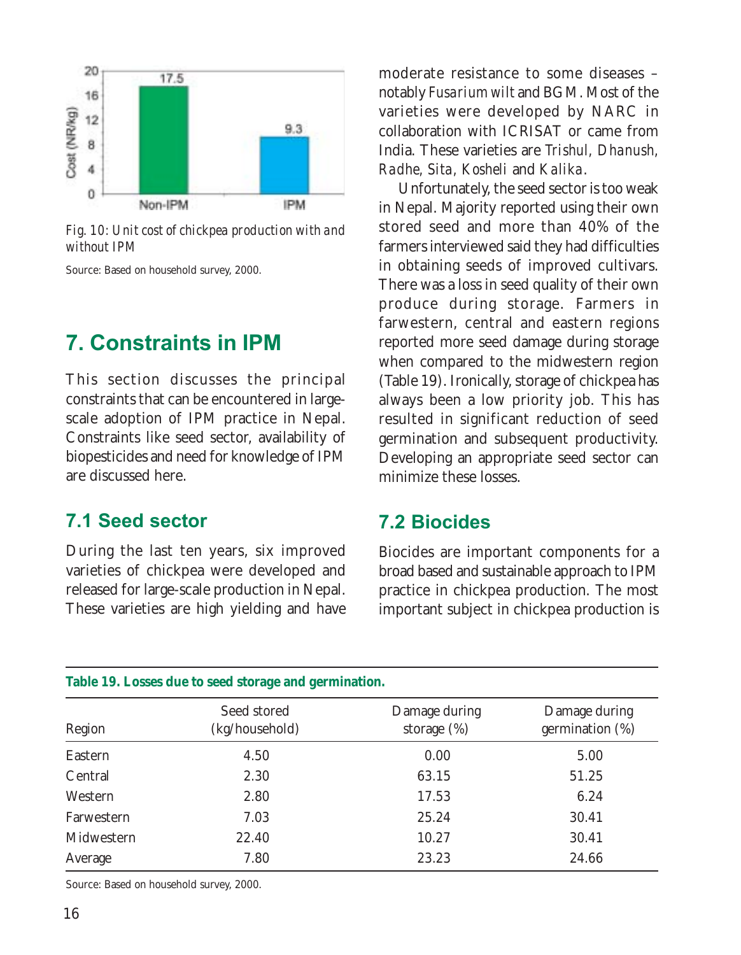

*Fig. 10: Unit cost of chickpea production with and without IPM*

Source: Based on household survey, 2000.

### 7. Constraints in IPM

This section discusses the principal constraints that can be encountered in largescale adoption of IPM practice in Nepal. Constraints like seed sector, availability of biopesticides and need for knowledge of IPM are discussed here.

#### 7.1 Seed sector

During the last ten years, six improved varieties of chickpea were developed and released for large-scale production in Nepal. These varieties are high yielding and have

moderate resistance to some diseases – notably *Fusarium wilt* and BGM. Most of the varieties were developed by NARC in collaboration with ICRISAT or came from India. These varieties are *Trishul, Dhanush, Radhe, Sita, Kosheli* and *Kalika*.

Unfortunately, the seed sector is too weak in Nepal. Majority reported using their own stored seed and more than 40% of the farmers interviewed said they had difficulties in obtaining seeds of improved cultivars. There was a loss in seed quality of their own produce during storage. Farmers in farwestern, central and eastern regions reported more seed damage during storage when compared to the midwestern region (Table 19). Ironically, storage of chickpea has always been a low priority job. This has resulted in significant reduction of seed germination and subsequent productivity. Developing an appropriate seed sector can minimize these losses.

#### 7.2 Biocides

Biocides are important components for a broad based and sustainable approach to IPM practice in chickpea production. The most important subject in chickpea production is

| Region     | Seed stored<br>(kg/household) | Damage during<br>storage $(\%)$ | Damage during<br>germination $(\%)$ |
|------------|-------------------------------|---------------------------------|-------------------------------------|
| Eastern    | 4.50                          | 0.00                            | 5.00                                |
| Central    | 2.30                          | 63.15                           | 51.25                               |
| Western    | 2.80                          | 17.53                           | 6.24                                |
| Farwestern | 7.03                          | 25.24                           | 30.41                               |
| Midwestern | 22.40                         | 10.27                           | 30.41                               |
| Average    | 7.80                          | 23.23                           | 24.66                               |

#### **Table 19. Losses due to seed storage and germination.**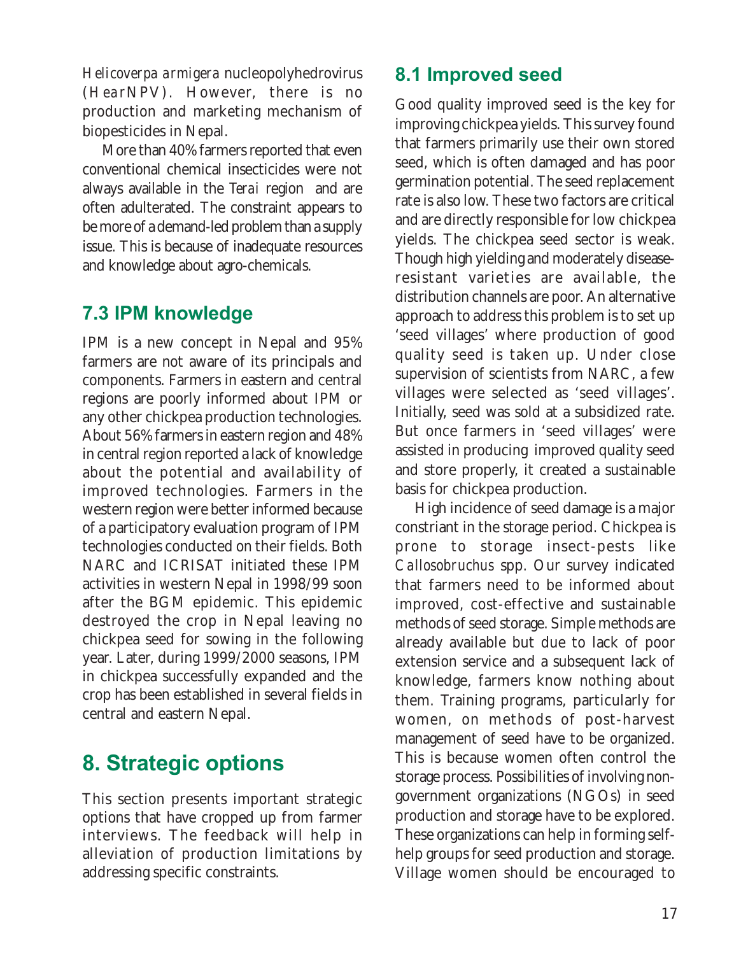*Helicoverpa armigera* nucleopolyhedrovirus (*Hear*NPV). However, there is no production and marketing mechanism of biopesticides in Nepal.

More than 40% farmers reported that even conventional chemical insecticides were not always available in the *Terai* region and are often adulterated. The constraint appears to be more of a demand-led problem than a supply issue. This is because of inadequate resources and knowledge about agro-chemicals.

### 7.3 IPM knowledge

IPM is a new concept in Nepal and 95% farmers are not aware of its principals and components. Farmers in eastern and central regions are poorly informed about IPM or any other chickpea production technologies. About 56% farmers in eastern region and 48% in central region reported a lack of knowledge about the potential and availability of improved technologies. Farmers in the western region were better informed because of a participatory evaluation program of IPM technologies conducted on their fields. Both NARC and ICRISAT initiated these IPM activities in western Nepal in 1998/99 soon after the BGM epidemic. This epidemic destroyed the crop in Nepal leaving no chickpea seed for sowing in the following year. Later, during 1999/2000 seasons, IPM in chickpea successfully expanded and the crop has been established in several fields in central and eastern Nepal.

### 8. Strategic options

This section presents important strategic options that have cropped up from farmer interviews. The feedback will help in alleviation of production limitations by addressing specific constraints.

### 8.1 Improved seed

Good quality improved seed is the key for improving chickpea yields. This survey found that farmers primarily use their own stored seed, which is often damaged and has poor germination potential. The seed replacement rate is also low. These two factors are critical and are directly responsible for low chickpea yields. The chickpea seed sector is weak. Though high yielding and moderately diseaseresistant varieties are available, the distribution channels are poor. An alternative approach to address this problem is to set up 'seed villages' where production of good quality seed is taken up. Under close supervision of scientists from NARC, a few villages were selected as 'seed villages'. Initially, seed was sold at a subsidized rate. But once farmers in 'seed villages' were assisted in producing improved quality seed and store properly, it created a sustainable basis for chickpea production.

High incidence of seed damage is a major constriant in the storage period. Chickpea is prone to storage insect-pests like *Callosobruchus* spp. Our survey indicated that farmers need to be informed about improved, cost-effective and sustainable methods of seed storage. Simple methods are already available but due to lack of poor extension service and a subsequent lack of knowledge, farmers know nothing about them. Training programs, particularly for women, on methods of post-harvest management of seed have to be organized. This is because women often control the storage process. Possibilities of involving nongovernment organizations (NGOs) in seed production and storage have to be explored. These organizations can help in forming selfhelp groups for seed production and storage. Village women should be encouraged to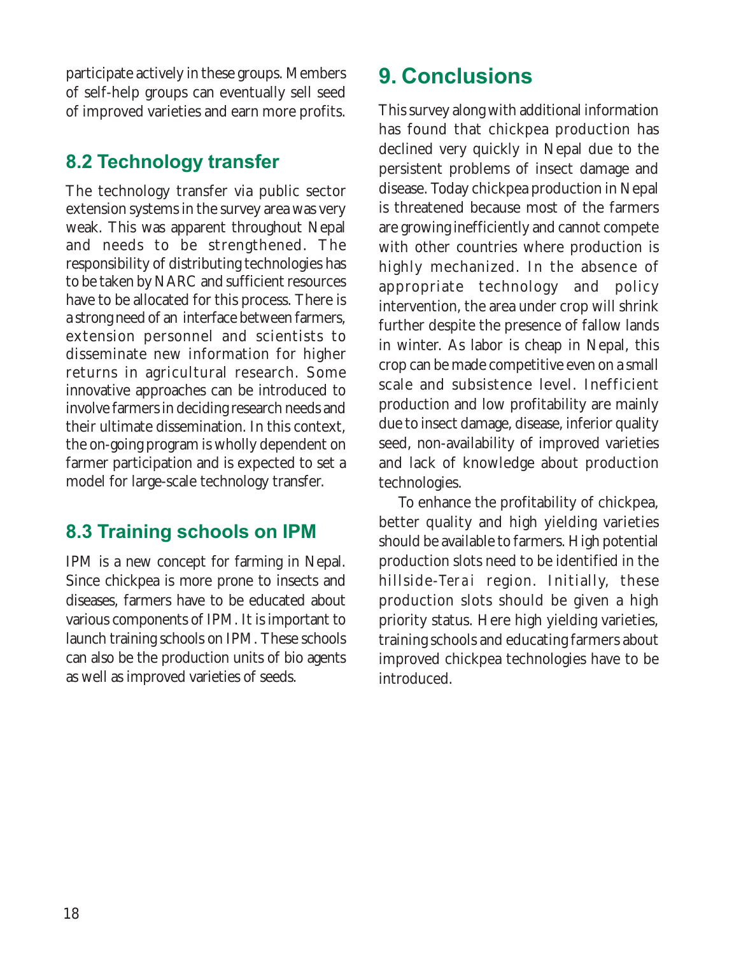participate actively in these groups. Members of self-help groups can eventually sell seed of improved varieties and earn more profits.

### 8.2 Technology transfer

The technology transfer via public sector extension systems in the survey area was very weak. This was apparent throughout Nepal and needs to be strengthened. The responsibility of distributing technologies has to be taken by NARC and sufficient resources have to be allocated for this process. There is a strong need of an interface between farmers, extension personnel and scientists to disseminate new information for higher returns in agricultural research. Some innovative approaches can be introduced to involve farmers in deciding research needs and their ultimate dissemination. In this context, the on-going program is wholly dependent on farmer participation and is expected to set a model for large-scale technology transfer.

### 8.3 Training schools on IPM

IPM is a new concept for farming in Nepal. Since chickpea is more prone to insects and diseases, farmers have to be educated about various components of IPM. It is important to launch training schools on IPM. These schools can also be the production units of bio agents as well as improved varieties of seeds.

### 9. Conclusions

This survey along with additional information has found that chickpea production has declined very quickly in Nepal due to the persistent problems of insect damage and disease. Today chickpea production in Nepal is threatened because most of the farmers are growing inefficiently and cannot compete with other countries where production is highly mechanized. In the absence of appropriate technology and policy intervention, the area under crop will shrink further despite the presence of fallow lands in winter. As labor is cheap in Nepal, this crop can be made competitive even on a small scale and subsistence level. Inefficient production and low profitability are mainly due to insect damage, disease, inferior quality seed, non-availability of improved varieties and lack of knowledge about production technologies.

To enhance the profitability of chickpea, better quality and high yielding varieties should be available to farmers. High potential production slots need to be identified in the hillside-*Terai* region. Initially, these production slots should be given a high priority status. Here high yielding varieties, training schools and educating farmers about improved chickpea technologies have to be introduced.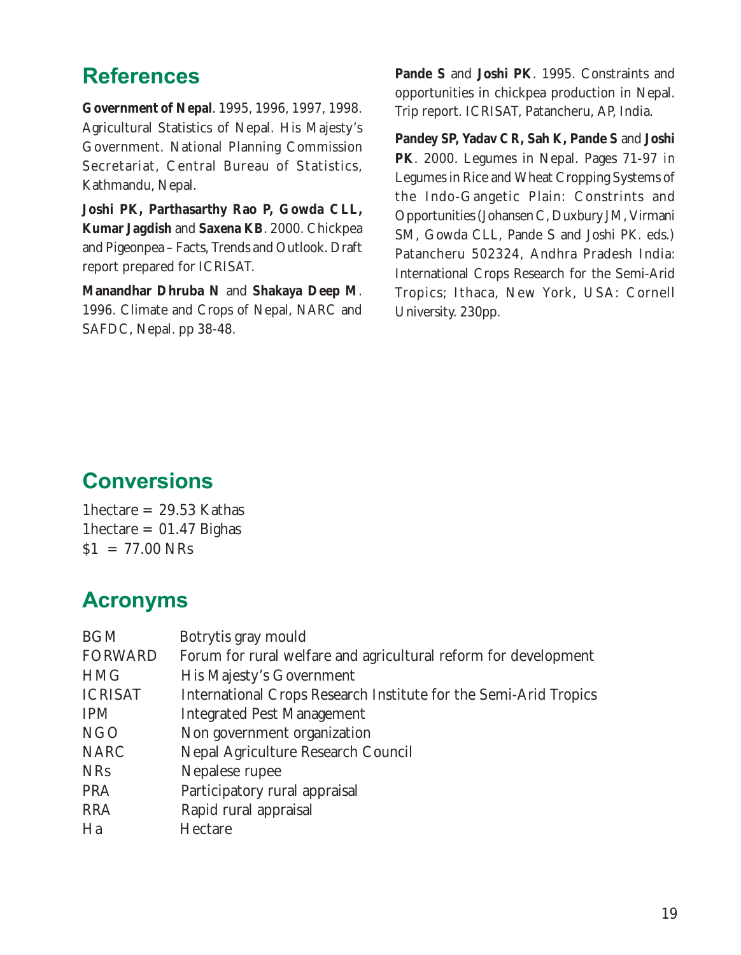### **References**

**Government of Nepal**. 1995, 1996, 1997, 1998. Agricultural Statistics of Nepal. His Majesty's Government. National Planning Commission Secretariat, Central Bureau of Statistics, Kathmandu, Nepal.

**Joshi PK, Parthasarthy Rao P, Gowda CLL, Kumar Jagdish** and **Saxena KB**. 2000. Chickpea and Pigeonpea – Facts, Trends and Outlook. Draft report prepared for ICRISAT.

**Manandhar Dhruba N** and **Shakaya Deep M**. 1996. Climate and Crops of Nepal, NARC and SAFDC, Nepal. pp 38-48.

**Pande S** and **Joshi PK**. 1995. Constraints and opportunities in chickpea production in Nepal. Trip report. ICRISAT, Patancheru, AP, India.

**Pandey SP, Yadav CR, Sah K, Pande S** and **Joshi PK**. 2000. Legumes in Nepal. Pages 71-97 *in* Legumes in Rice and Wheat Cropping Systems of the Indo-Gangetic Plain: Constrints and Opportunities (Johansen C, Duxbury JM, Virmani SM, Gowda CLL, Pande S and Joshi PK. eds.) Patancheru 502324, Andhra Pradesh India: International Crops Research for the Semi-Arid Tropics; Ithaca, New York, USA: Cornell University. 230pp.

### **Conversions**

1hectare  $= 29.53$  Kathas 1hectare =  $01.47$  Bighas  $$1 = 77.00$  NRs

### Acronyms

| <b>BGM</b>     | Botrytis gray mould                                              |
|----------------|------------------------------------------------------------------|
| <b>FORWARD</b> | Forum for rural welfare and agricultural reform for development  |
| <b>HMG</b>     | His Majesty's Government                                         |
| <b>ICRISAT</b> | International Crops Research Institute for the Semi-Arid Tropics |
| <b>IPM</b>     | <b>Integrated Pest Management</b>                                |
| <b>NGO</b>     | Non government organization                                      |
| <b>NARC</b>    | Nepal Agriculture Research Council                               |
| <b>NRs</b>     | Nepalese rupee                                                   |
| <b>PRA</b>     | Participatory rural appraisal                                    |
| <b>RRA</b>     | Rapid rural appraisal                                            |
| Ha             | Hectare                                                          |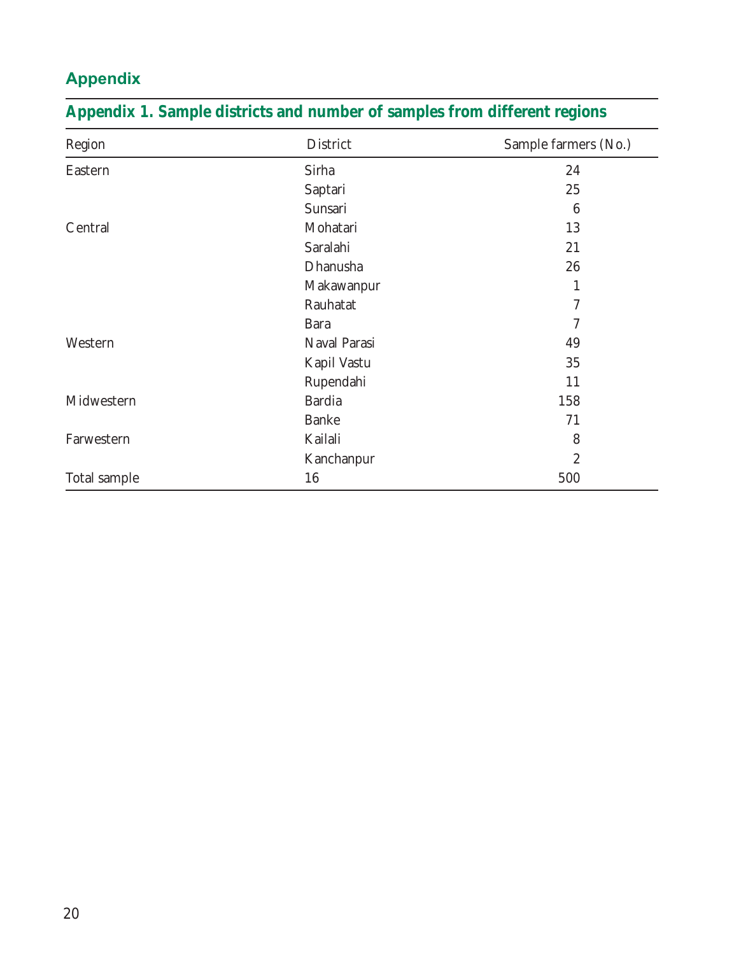### Appendix

| Region       | District      | Sample farmers (No.) |
|--------------|---------------|----------------------|
| Eastern      | Sirha         | 24                   |
|              | Saptari       | 25                   |
|              | Sunsari       | 6                    |
| Central      | Mohatari      | 13                   |
|              | Saralahi      | 21                   |
|              | Dhanusha      | 26                   |
|              | Makawanpur    | 1                    |
|              | Rauhatat      | 7                    |
|              | <b>Bara</b>   | 7                    |
| Western      | Naval Parasi  | 49                   |
|              | Kapil Vastu   | 35                   |
|              | Rupendahi     | 11                   |
| Midwestern   | <b>Bardia</b> | 158                  |
|              | <b>Banke</b>  | 71                   |
| Farwestern   | Kailali       | 8                    |
|              | Kanchanpur    | $\boldsymbol{2}$     |
| Total sample | 16            | 500                  |

### **Appendix 1. Sample districts and number of samples from different regions**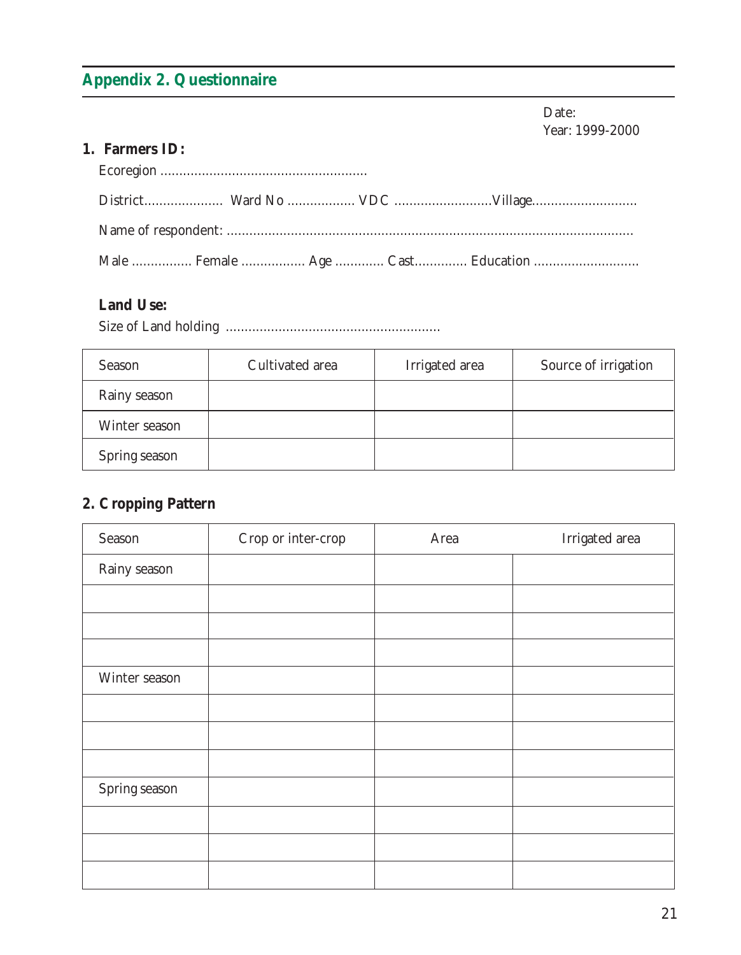### **Appendix 2. Questionnaire**

Date: Year: 1999-2000

#### **1. Farmers ID:**

#### **Land Use:**

Size of Land holding .........................................................

| Season        | Cultivated area | Irrigated area | Source of irrigation |
|---------------|-----------------|----------------|----------------------|
| Rainy season  |                 |                |                      |
| Winter season |                 |                |                      |
| Spring season |                 |                |                      |

#### **2. Cropping Pattern**

| Season        | Crop or inter-crop | Area | Irrigated area |
|---------------|--------------------|------|----------------|
| Rainy season  |                    |      |                |
|               |                    |      |                |
|               |                    |      |                |
|               |                    |      |                |
| Winter season |                    |      |                |
|               |                    |      |                |
|               |                    |      |                |
|               |                    |      |                |
| Spring season |                    |      |                |
|               |                    |      |                |
|               |                    |      |                |
|               |                    |      |                |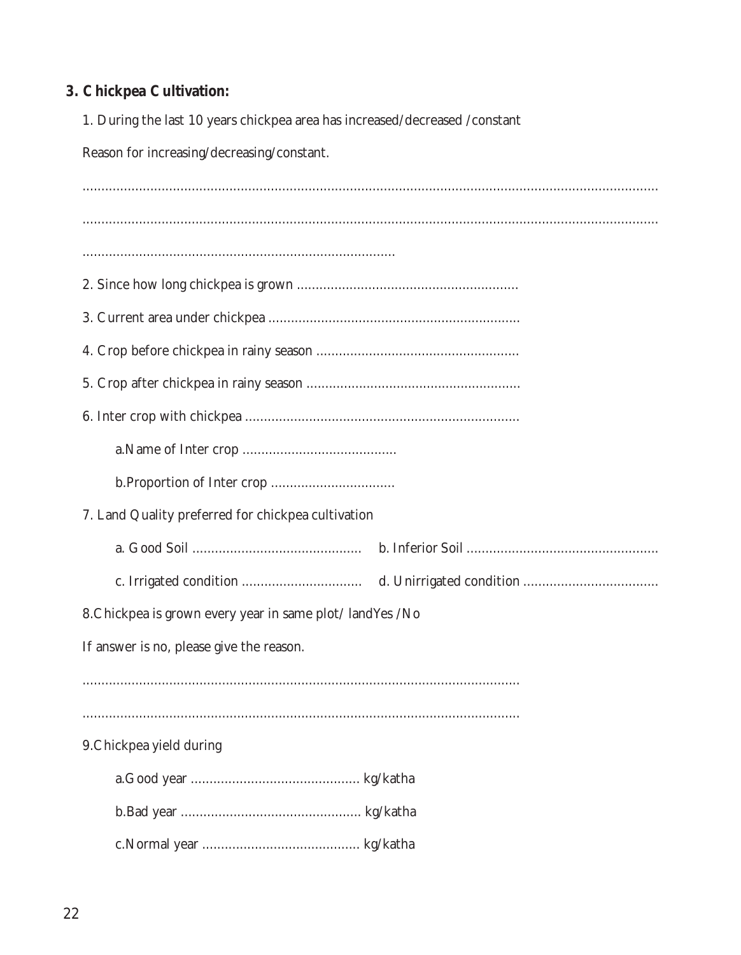#### 3. Chickpea Cultivation:

1. During the last 10 years chickpea area has increased/decreased/constant

Reason for increasing/decreasing/constant.

7. Land Quality preferred for chickpea cultivation 8. Chickpea is grown every year in same plot/landYes /No If answer is no, please give the reason. 9. Chickpea yield during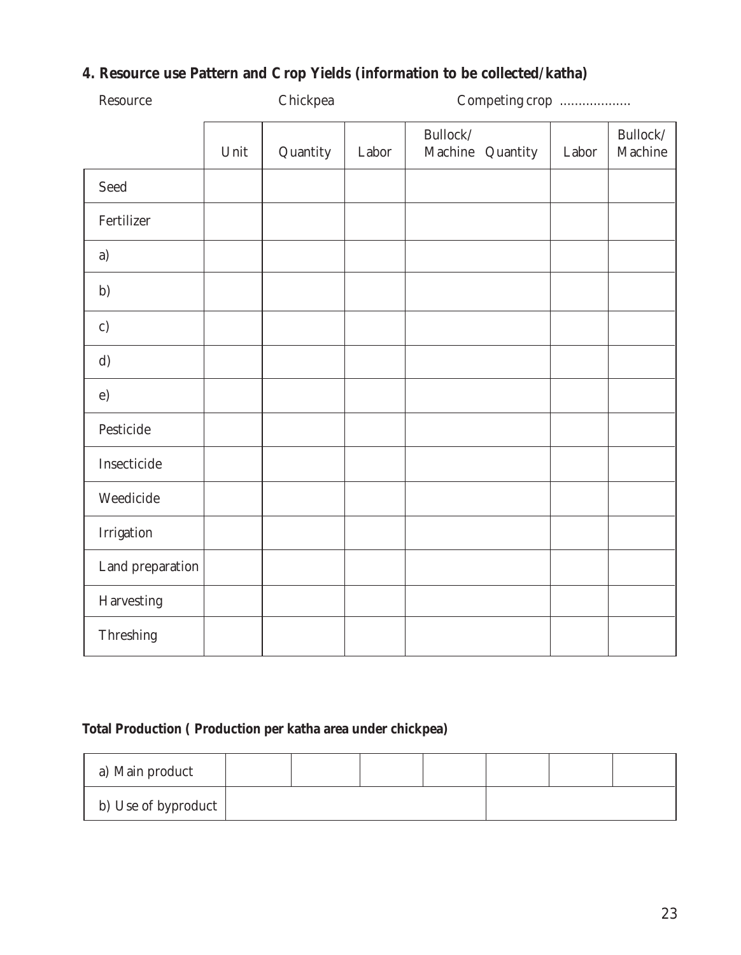#### **4. Resource use Pattern and Crop Yields (information to be collected/katha)**

| Resource         | Chickpea |          |       | Competing crop               |       |                     |
|------------------|----------|----------|-------|------------------------------|-------|---------------------|
|                  | Unit     | Quantity | Labor | Bullock/<br>Machine Quantity | Labor | Bullock/<br>Machine |
| Seed             |          |          |       |                              |       |                     |
| Fertilizer       |          |          |       |                              |       |                     |
| a)               |          |          |       |                              |       |                     |
| b)               |          |          |       |                              |       |                     |
| c)               |          |          |       |                              |       |                     |
| d)               |          |          |       |                              |       |                     |
| $\epsilon$ )     |          |          |       |                              |       |                     |
| Pesticide        |          |          |       |                              |       |                     |
| Insecticide      |          |          |       |                              |       |                     |
| Weedicide        |          |          |       |                              |       |                     |
| Irrigation       |          |          |       |                              |       |                     |
| Land preparation |          |          |       |                              |       |                     |
| Harvesting       |          |          |       |                              |       |                     |
| Threshing        |          |          |       |                              |       |                     |

#### **Total Production ( Production per katha area under chickpea)**

| a) Main product     |  |  |  |  |
|---------------------|--|--|--|--|
| b) Use of byproduct |  |  |  |  |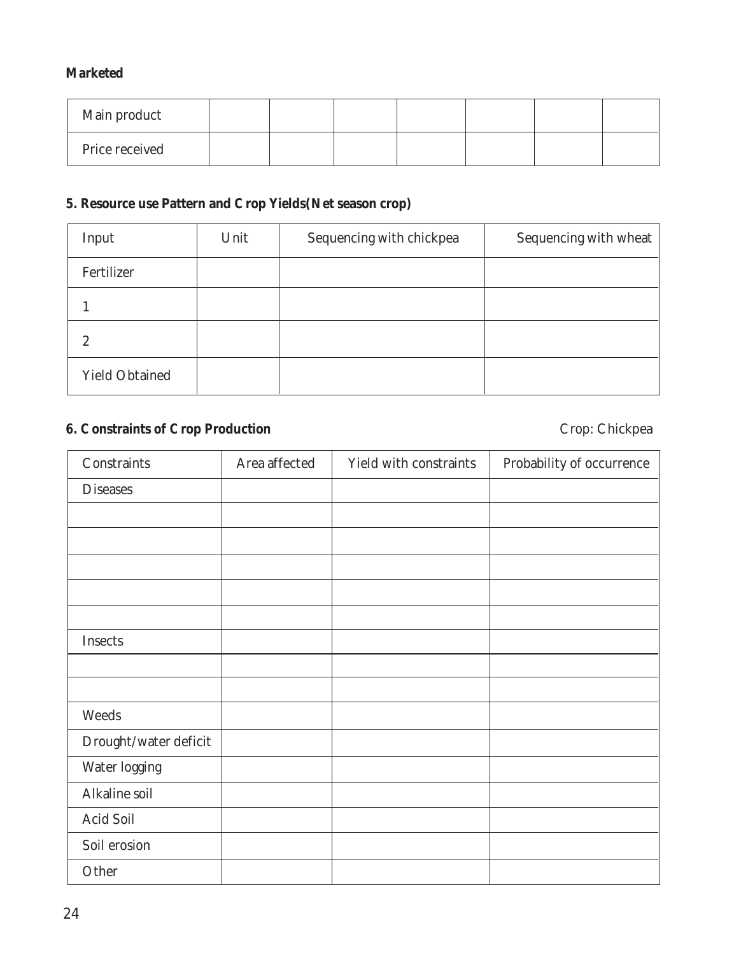#### **Marketed**

| Main product   |  |  |  |  |
|----------------|--|--|--|--|
| Price received |  |  |  |  |

#### **5. Resource use Pattern and Crop Yields(Net season crop)**

| Input                 | Unit | Sequencing with chickpea | Sequencing with wheat |
|-----------------------|------|--------------------------|-----------------------|
| Fertilizer            |      |                          |                       |
|                       |      |                          |                       |
| 2                     |      |                          |                       |
| <b>Yield Obtained</b> |      |                          |                       |

#### **6. Constraints of Crop Production** Crop: Chickpea

| Constraints           | Area affected | Yield with constraints | Probability of occurrence |
|-----------------------|---------------|------------------------|---------------------------|
| <b>Diseases</b>       |               |                        |                           |
|                       |               |                        |                           |
|                       |               |                        |                           |
|                       |               |                        |                           |
|                       |               |                        |                           |
|                       |               |                        |                           |
| Insects               |               |                        |                           |
|                       |               |                        |                           |
|                       |               |                        |                           |
| Weeds                 |               |                        |                           |
| Drought/water deficit |               |                        |                           |
| Water logging         |               |                        |                           |
| Alkaline soil         |               |                        |                           |
| Acid Soil             |               |                        |                           |
| Soil erosion          |               |                        |                           |
| Other                 |               |                        |                           |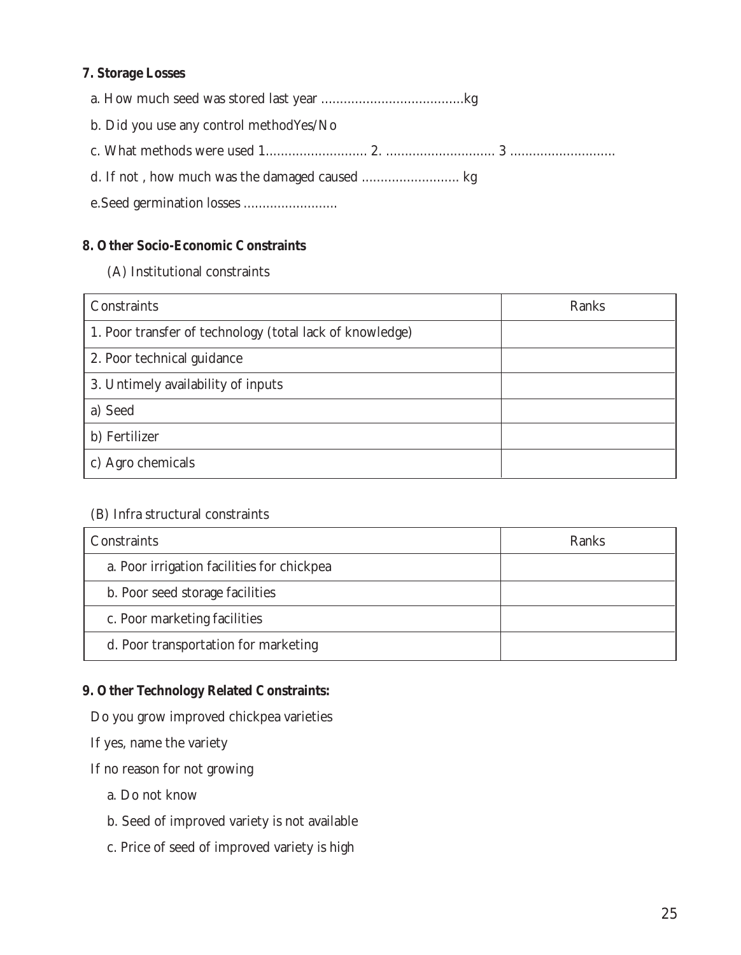#### **7. Storage Losses**

| b. Did you use any control method Yes/No |  |
|------------------------------------------|--|
|                                          |  |
|                                          |  |
|                                          |  |

#### **8. Other Socio-Economic Constraints**

(A) Institutional constraints

| Constraints                                              | Ranks |
|----------------------------------------------------------|-------|
| 1. Poor transfer of technology (total lack of knowledge) |       |
| 2. Poor technical guidance                               |       |
| 3. Untimely availability of inputs                       |       |
| a) Seed                                                  |       |
| b) Fertilizer                                            |       |
| c) Agro chemicals                                        |       |

#### (B) Infra structural constraints

| Constraints                                | Ranks |
|--------------------------------------------|-------|
| a. Poor irrigation facilities for chickpea |       |
| b. Poor seed storage facilities            |       |
| c. Poor marketing facilities               |       |
| d. Poor transportation for marketing       |       |

#### **9. Other Technology Related Constraints:**

Do you grow improved chickpea varieties

If yes, name the variety

If no reason for not growing

- a. Do not know
- b. Seed of improved variety is not available
- c. Price of seed of improved variety is high